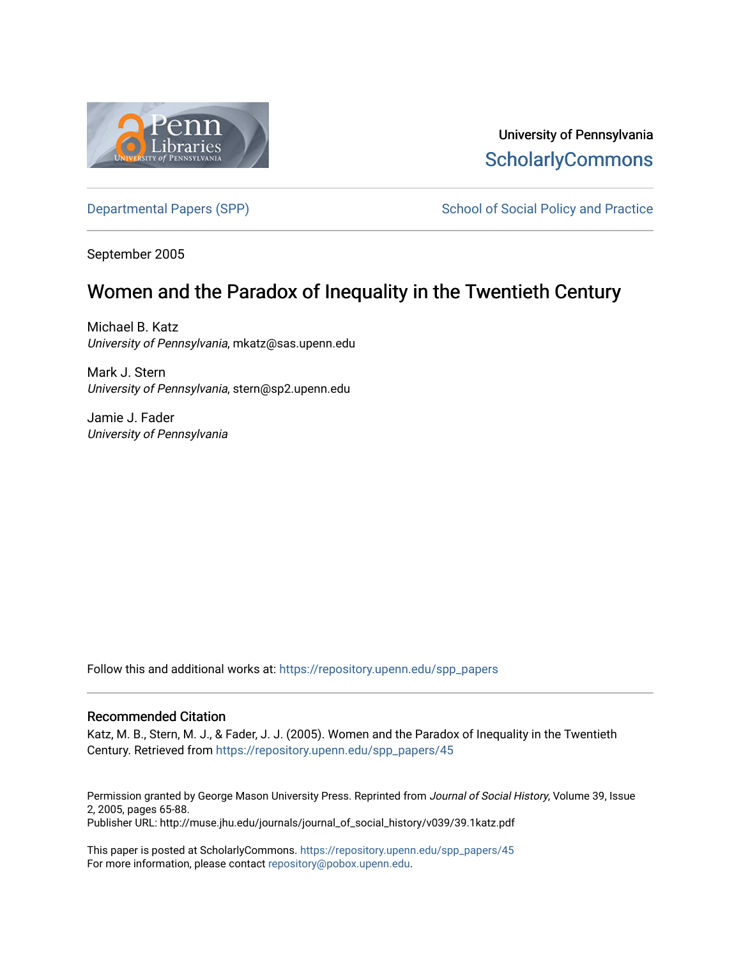

University of Pennsylvania **ScholarlyCommons** 

[Departmental Papers \(SPP\)](https://repository.upenn.edu/spp_papers) School of Social Policy and Practice

September 2005

# Women and the Paradox of Inequality in the Twentieth Century

Michael B. Katz University of Pennsylvania, mkatz@sas.upenn.edu

Mark J. Stern University of Pennsylvania, stern@sp2.upenn.edu

Jamie J. Fader University of Pennsylvania

Follow this and additional works at: [https://repository.upenn.edu/spp\\_papers](https://repository.upenn.edu/spp_papers?utm_source=repository.upenn.edu%2Fspp_papers%2F45&utm_medium=PDF&utm_campaign=PDFCoverPages) 

### Recommended Citation

Katz, M. B., Stern, M. J., & Fader, J. J. (2005). Women and the Paradox of Inequality in the Twentieth Century. Retrieved from [https://repository.upenn.edu/spp\\_papers/45](https://repository.upenn.edu/spp_papers/45?utm_source=repository.upenn.edu%2Fspp_papers%2F45&utm_medium=PDF&utm_campaign=PDFCoverPages) 

Permission granted by George Mason University Press. Reprinted from Journal of Social History, Volume 39, Issue 2, 2005, pages 65-88. Publisher URL: http://muse.jhu.edu/journals/journal\_of\_social\_history/v039/39.1katz.pdf

This paper is posted at ScholarlyCommons. [https://repository.upenn.edu/spp\\_papers/45](https://repository.upenn.edu/spp_papers/45)  For more information, please contact [repository@pobox.upenn.edu.](mailto:repository@pobox.upenn.edu)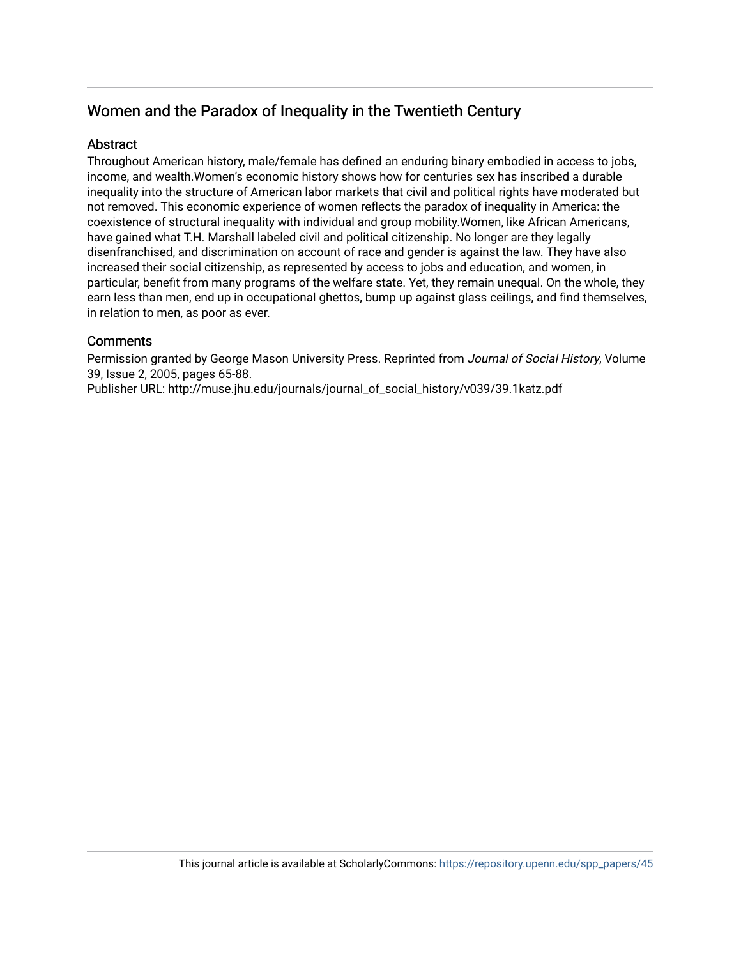# Women and the Paradox of Inequality in the Twentieth Century

## **Abstract**

Throughout American history, male/female has defined an enduring binary embodied in access to jobs, income, and wealth.Women's economic history shows how for centuries sex has inscribed a durable inequality into the structure of American labor markets that civil and political rights have moderated but not removed. This economic experience of women reflects the paradox of inequality in America: the coexistence of structural inequality with individual and group mobility.Women, like African Americans, have gained what T.H. Marshall labeled civil and political citizenship. No longer are they legally disenfranchised, and discrimination on account of race and gender is against the law. They have also increased their social citizenship, as represented by access to jobs and education, and women, in particular, benefit from many programs of the welfare state. Yet, they remain unequal. On the whole, they earn less than men, end up in occupational ghettos, bump up against glass ceilings, and find themselves, in relation to men, as poor as ever.

## **Comments**

Permission granted by George Mason University Press. Reprinted from Journal of Social History, Volume 39, Issue 2, 2005, pages 65-88.

Publisher URL: http://muse.jhu.edu/journals/journal\_of\_social\_history/v039/39.1katz.pdf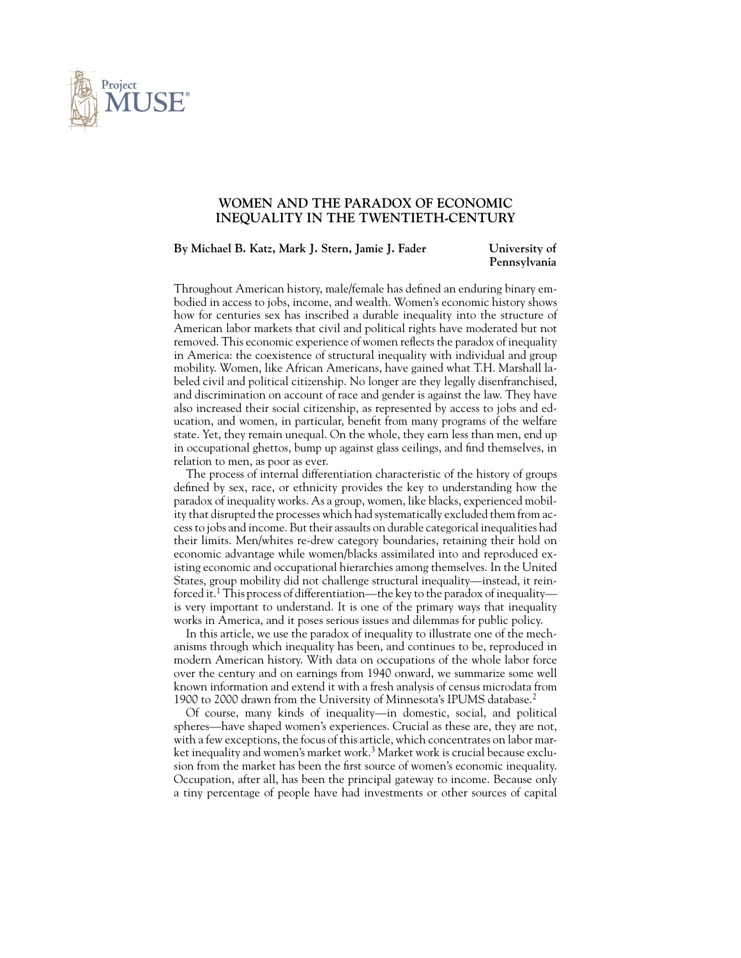

### **WOMEN AND THE PARADOX OF ECONOMIC INEQUALITY IN THE TWENTIETH-CENTURY**

#### **By Michael B. Katz, Mark J. Stern, Jamie J. Fader University of**

**Pennsylvania**

Throughout American history, male/female has defined an enduring binary embodied in access to jobs, income, and wealth. Women's economic history shows how for centuries sex has inscribed a durable inequality into the structure of American labor markets that civil and political rights have moderated but not removed. This economic experience of women reflects the paradox of inequality in America: the coexistence of structural inequality with individual and group mobility. Women, like African Americans, have gained what T.H. Marshall labeled civil and political citizenship. No longer are they legally disenfranchised, and discrimination on account of race and gender is against the law. They have also increased their social citizenship, as represented by access to jobs and education, and women, in particular, benefit from many programs of the welfare state. Yet, they remain unequal. On the whole, they earn less than men, end up in occupational ghettos, bump up against glass ceilings, and find themselves, in relation to men, as poor as ever.

The process of internal differentiation characteristic of the history of groups defined by sex, race, or ethnicity provides the key to understanding how the paradox of inequality works. As a group, women, like blacks, experienced mobility that disrupted the processes which had systematically excluded them from access to jobs and income. But their assaults on durable categorical inequalities had their limits. Men/whites re-drew category boundaries, retaining their hold on economic advantage while women/blacks assimilated into and reproduced existing economic and occupational hierarchies among themselves. In the United States, group mobility did not challenge structural inequality—instead, it reinforced it.<sup>1</sup> This process of differentiation—the key to the paradox of inequality is very important to understand. It is one of the primary ways that inequality works in America, and it poses serious issues and dilemmas for public policy.

In this article, we use the paradox of inequality to illustrate one of the mechanisms through which inequality has been, and continues to be, reproduced in modern American history. With data on occupations of the whole labor force over the century and on earnings from 1940 onward, we summarize some well known information and extend it with a fresh analysis of census microdata from 1900 to 2000 drawn from the University of Minnesota's IPUMS database.<sup>2</sup>

Of course, many kinds of inequality—in domestic, social, and political spheres—have shaped women's experiences. Crucial as these are, they are not, with a few exceptions, the focus of this article, which concentrates on labor market inequality and women's market work.<sup>3</sup> Market work is crucial because exclusion from the market has been the first source of women's economic inequality. Occupation, after all, has been the principal gateway to income. Because only a tiny percentage of people have had investments or other sources of capital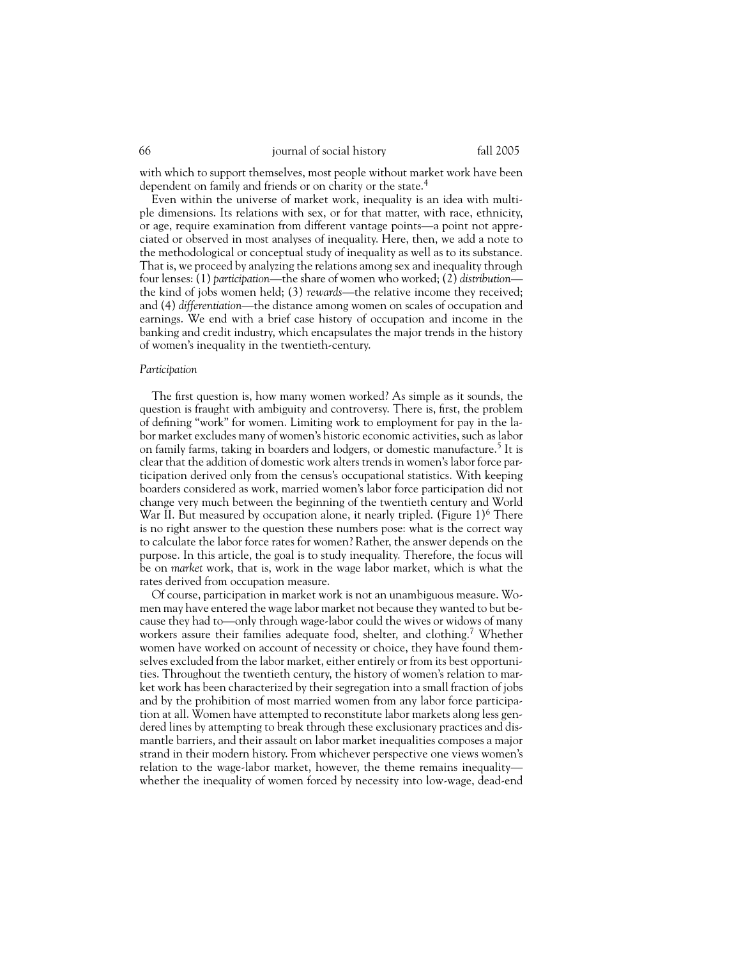with which to support themselves, most people without market work have been dependent on family and friends or on charity or the state.<sup>4</sup>

Even within the universe of market work, inequality is an idea with multiple dimensions. Its relations with sex, or for that matter, with race, ethnicity, or age, require examination from different vantage points—a point not appreciated or observed in most analyses of inequality. Here, then, we add a note to the methodological or conceptual study of inequality as well as to its substance. That is, we proceed by analyzing the relations among sex and inequality through four lenses: (1) *participation*—the share of women who worked; (2) *distribution* the kind of jobs women held; (3) *rewards*—the relative income they received; and (4) *differentiation*—the distance among women on scales of occupation and earnings. We end with a brief case history of occupation and income in the banking and credit industry, which encapsulates the major trends in the history of women's inequality in the twentieth-century.

#### *Participation*

The first question is, how many women worked? As simple as it sounds, the question is fraught with ambiguity and controversy. There is, first, the problem of defining "work" for women. Limiting work to employment for pay in the labor market excludes many of women's historic economic activities, such as labor on family farms, taking in boarders and lodgers, or domestic manufacture.<sup>5</sup> It is clear that the addition of domestic work alters trends in women's labor force participation derived only from the census's occupational statistics. With keeping boarders considered as work, married women's labor force participation did not change very much between the beginning of the twentieth century and World War II. But measured by occupation alone, it nearly tripled. (Figure  $1$ )<sup>6</sup> There is no right answer to the question these numbers pose: what is the correct way to calculate the labor force rates for women? Rather, the answer depends on the purpose. In this article, the goal is to study inequality. Therefore, the focus will be on *market* work, that is, work in the wage labor market, which is what the rates derived from occupation measure.

Of course, participation in market work is not an unambiguous measure. Women may have entered the wage labor market not because they wanted to but because they had to—only through wage-labor could the wives or widows of many workers assure their families adequate food, shelter, and clothing.<sup>7</sup> Whether women have worked on account of necessity or choice, they have found themselves excluded from the labor market, either entirely or from its best opportunities. Throughout the twentieth century, the history of women's relation to market work has been characterized by their segregation into a small fraction of jobs and by the prohibition of most married women from any labor force participation at all. Women have attempted to reconstitute labor markets along less gendered lines by attempting to break through these exclusionary practices and dismantle barriers, and their assault on labor market inequalities composes a major strand in their modern history. From whichever perspective one views women's relation to the wage-labor market, however, the theme remains inequality whether the inequality of women forced by necessity into low-wage, dead-end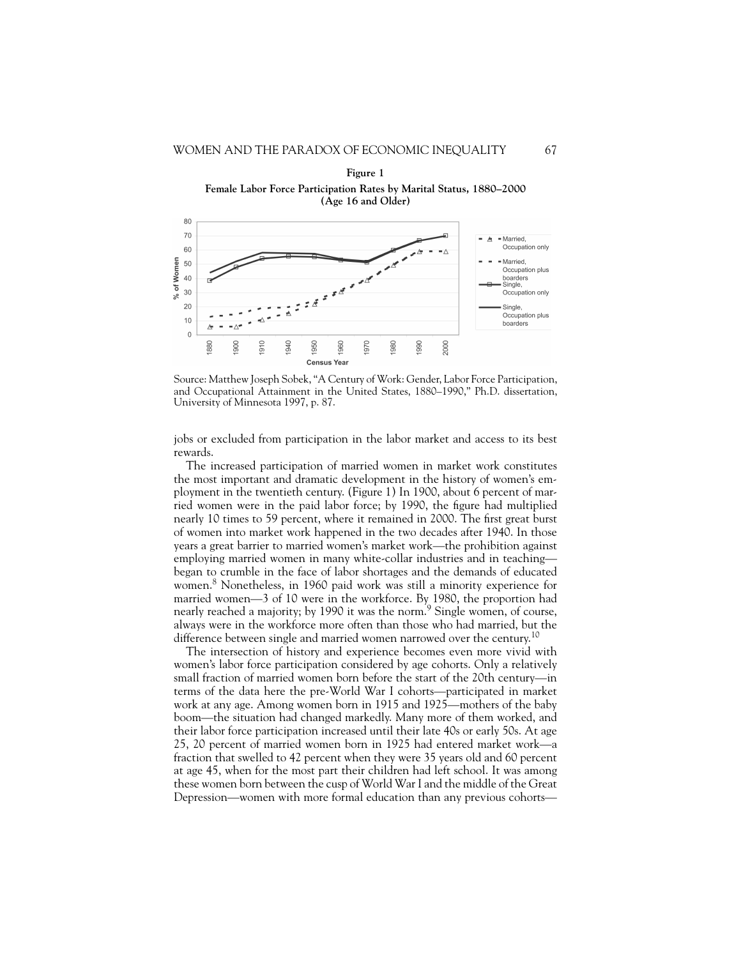

**Figure 1 Female Labor Force Participation Rates by Marital Status, 1880–2000**

Source: Matthew Joseph Sobek, "A Century of Work: Gender, Labor Force Participation, and Occupational Attainment in the United States, 1880–1990," Ph.D. dissertation, University of Minnesota 1997, p. 87.

jobs or excluded from participation in the labor market and access to its best rewards.

The increased participation of married women in market work constitutes the most important and dramatic development in the history of women's employment in the twentieth century. (Figure 1) In 1900, about 6 percent of married women were in the paid labor force; by 1990, the figure had multiplied nearly 10 times to 59 percent, where it remained in 2000. The first great burst of women into market work happened in the two decades after 1940. In those years a great barrier to married women's market work—the prohibition against employing married women in many white-collar industries and in teaching began to crumble in the face of labor shortages and the demands of educated women.<sup>8</sup> Nonetheless, in 1960 paid work was still a minority experience for married women—3 of 10 were in the workforce. By 1980, the proportion had nearly reached a majority; by 1990 it was the norm.<sup>9</sup> Single women, of course, always were in the workforce more often than those who had married, but the difference between single and married women narrowed over the century.<sup>10</sup>

The intersection of history and experience becomes even more vivid with women's labor force participation considered by age cohorts. Only a relatively small fraction of married women born before the start of the 20th century—in terms of the data here the pre-World War I cohorts—participated in market work at any age. Among women born in 1915 and 1925—mothers of the baby boom—the situation had changed markedly. Many more of them worked, and their labor force participation increased until their late 40s or early 50s. At age 25, 20 percent of married women born in 1925 had entered market work—a fraction that swelled to 42 percent when they were 35 years old and 60 percent at age 45, when for the most part their children had left school. It was among these women born between the cusp of World War I and the middle of the Great Depression—women with more formal education than any previous cohorts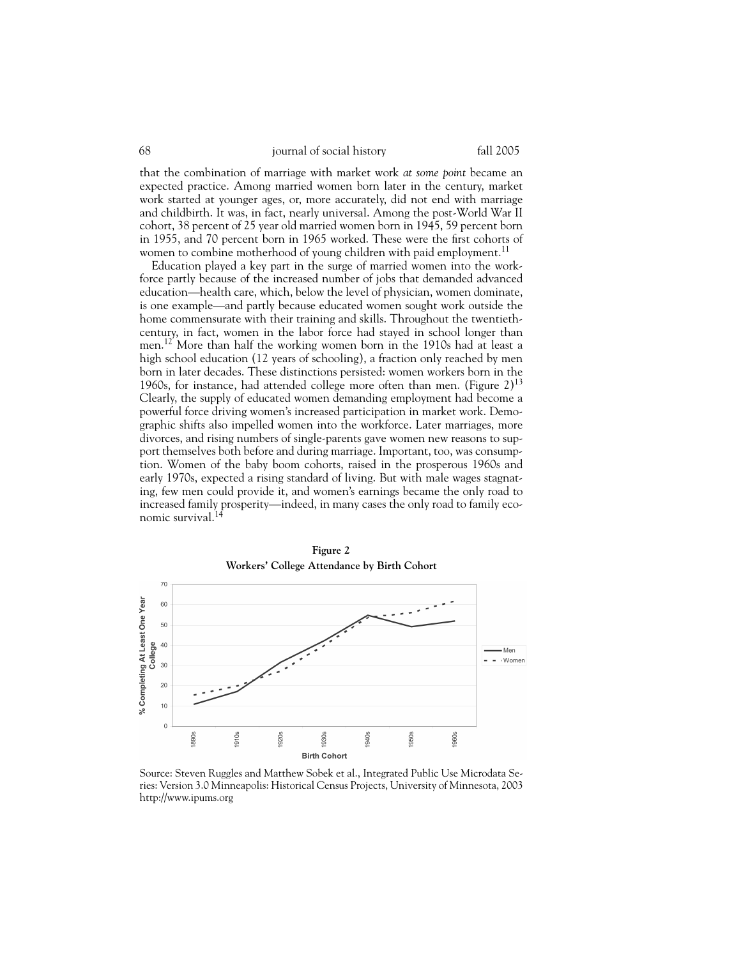that the combination of marriage with market work *at some point* became an expected practice. Among married women born later in the century, market work started at younger ages, or, more accurately, did not end with marriage and childbirth. It was, in fact, nearly universal. Among the post-World War II cohort, 38 percent of 25 year old married women born in 1945, 59 percent born in 1955, and 70 percent born in 1965 worked. These were the first cohorts of women to combine motherhood of young children with paid employment.<sup>11</sup>

Education played a key part in the surge of married women into the workforce partly because of the increased number of jobs that demanded advanced education—health care, which, below the level of physician, women dominate, is one example—and partly because educated women sought work outside the home commensurate with their training and skills. Throughout the twentiethcentury, in fact, women in the labor force had stayed in school longer than men.<sup>12</sup> More than half the working women born in the 1910s had at least a high school education (12 years of schooling), a fraction only reached by men born in later decades. These distinctions persisted: women workers born in the 1960s, for instance, had attended college more often than men. (Figure  $2)^{13}$ Clearly, the supply of educated women demanding employment had become a powerful force driving women's increased participation in market work. Demographic shifts also impelled women into the workforce. Later marriages, more divorces, and rising numbers of single-parents gave women new reasons to support themselves both before and during marriage. Important, too, was consumption. Women of the baby boom cohorts, raised in the prosperous 1960s and early 1970s, expected a rising standard of living. But with male wages stagnating, few men could provide it, and women's earnings became the only road to increased family prosperity—indeed, in many cases the only road to family economic survival.<sup>14</sup>



**Figure 2**

Source: Steven Ruggles and Matthew Sobek et al., Integrated Public Use Microdata Series: Version 3.0 Minneapolis: Historical Census Projects, University of Minnesota, 2003 http://www.ipums.org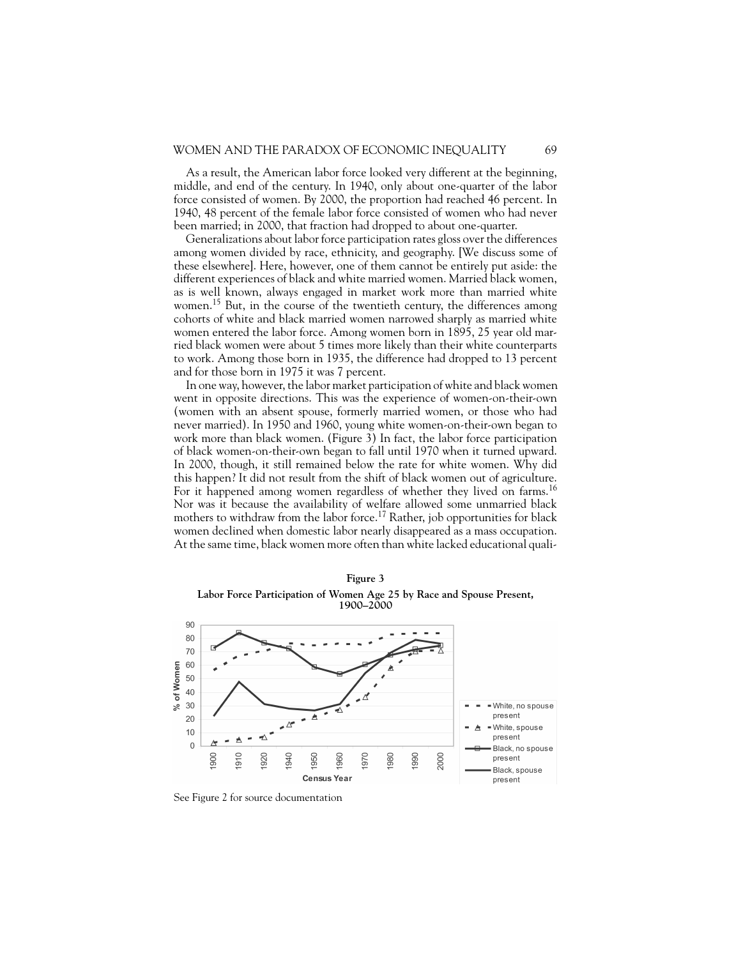As a result, the American labor force looked very different at the beginning, middle, and end of the century. In 1940, only about one-quarter of the labor force consisted of women. By 2000, the proportion had reached 46 percent. In 1940, 48 percent of the female labor force consisted of women who had never been married; in 2000, that fraction had dropped to about one-quarter.

Generalizations about labor force participation rates gloss over the differences among women divided by race, ethnicity, and geography. [We discuss some of these elsewhere]. Here, however, one of them cannot be entirely put aside: the different experiences of black and white married women. Married black women, as is well known, always engaged in market work more than married white women.<sup>15</sup> But, in the course of the twentieth century, the differences among cohorts of white and black married women narrowed sharply as married white women entered the labor force. Among women born in 1895, 25 year old married black women were about 5 times more likely than their white counterparts to work. Among those born in 1935, the difference had dropped to 13 percent and for those born in 1975 it was 7 percent.

In one way, however, the labor market participation of white and black women went in opposite directions. This was the experience of women-on-their-own (women with an absent spouse, formerly married women, or those who had never married). In 1950 and 1960, young white women-on-their-own began to work more than black women. (Figure 3) In fact, the labor force participation of black women-on-their-own began to fall until 1970 when it turned upward. In 2000, though, it still remained below the rate for white women. Why did this happen? It did not result from the shift of black women out of agriculture. For it happened among women regardless of whether they lived on farms.<sup>16</sup> Nor was it because the availability of welfare allowed some unmarried black mothers to withdraw from the labor force.<sup>17</sup> Rather, job opportunities for black women declined when domestic labor nearly disappeared as a mass occupation. At the same time, black women more often than white lacked educational quali-



**Figure 3 Labor Force Participation of Women Age 25 by Race and Spouse Present, 1900–2000**

See Figure 2 for source documentation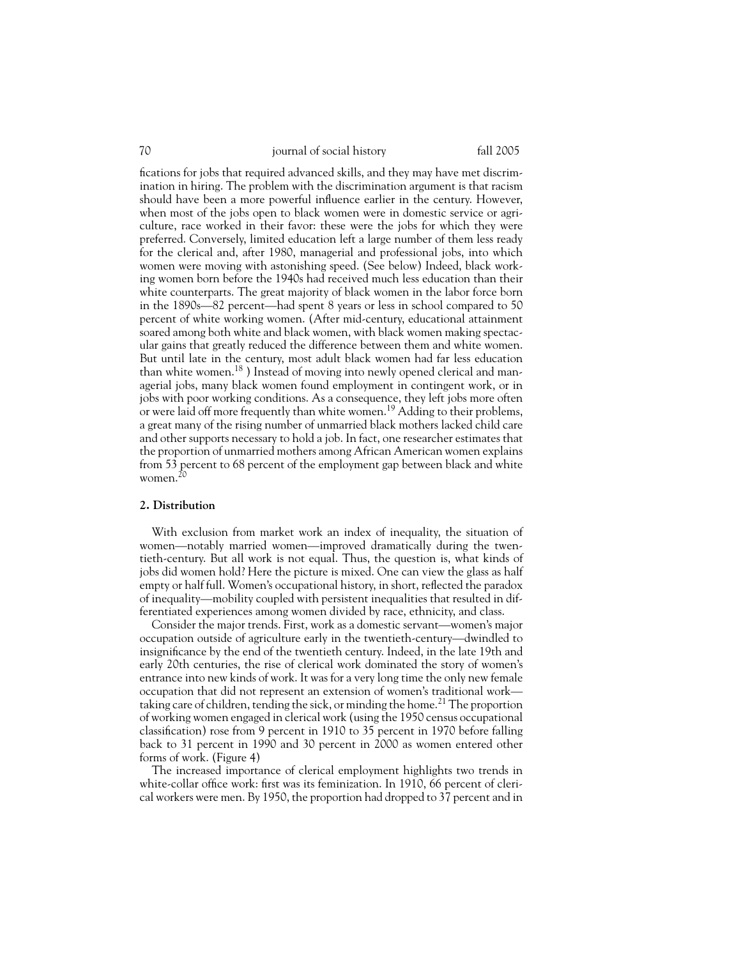fications for jobs that required advanced skills, and they may have met discrimination in hiring. The problem with the discrimination argument is that racism should have been a more powerful influence earlier in the century. However, when most of the jobs open to black women were in domestic service or agriculture, race worked in their favor: these were the jobs for which they were preferred. Conversely, limited education left a large number of them less ready for the clerical and, after 1980, managerial and professional jobs, into which women were moving with astonishing speed. (See below) Indeed, black working women born before the 1940s had received much less education than their white counterparts. The great majority of black women in the labor force born in the 1890s—82 percent—had spent 8 years or less in school compared to 50 percent of white working women. (After mid-century, educational attainment soared among both white and black women, with black women making spectacular gains that greatly reduced the difference between them and white women. But until late in the century, most adult black women had far less education than white women.<sup>18</sup> ) Instead of moving into newly opened clerical and managerial jobs, many black women found employment in contingent work, or in jobs with poor working conditions. As a consequence, they left jobs more often or were laid off more frequently than white women.<sup>19</sup> Adding to their problems, a great many of the rising number of unmarried black mothers lacked child care and other supports necessary to hold a job. In fact, one researcher estimates that the proportion of unmarried mothers among African American women explains from 53 percent to 68 percent of the employment gap between black and white women. $^{20}$ 

#### **2. Distribution**

With exclusion from market work an index of inequality, the situation of women—notably married women—improved dramatically during the twentieth-century. But all work is not equal. Thus, the question is, what kinds of jobs did women hold? Here the picture is mixed. One can view the glass as half empty or half full. Women's occupational history, in short, reflected the paradox of inequality—mobility coupled with persistent inequalities that resulted in differentiated experiences among women divided by race, ethnicity, and class.

Consider the major trends. First, work as a domestic servant—women's major occupation outside of agriculture early in the twentieth-century—dwindled to insignificance by the end of the twentieth century. Indeed, in the late 19th and early 20th centuries, the rise of clerical work dominated the story of women's entrance into new kinds of work. It was for a very long time the only new female occupation that did not represent an extension of women's traditional work taking care of children, tending the sick, or minding the home.<sup>21</sup> The proportion of working women engaged in clerical work (using the 1950 census occupational classification) rose from 9 percent in 1910 to 35 percent in 1970 before falling back to 31 percent in 1990 and 30 percent in 2000 as women entered other forms of work. (Figure 4)

The increased importance of clerical employment highlights two trends in white-collar office work: first was its feminization. In 1910, 66 percent of clerical workers were men. By 1950, the proportion had dropped to 37 percent and in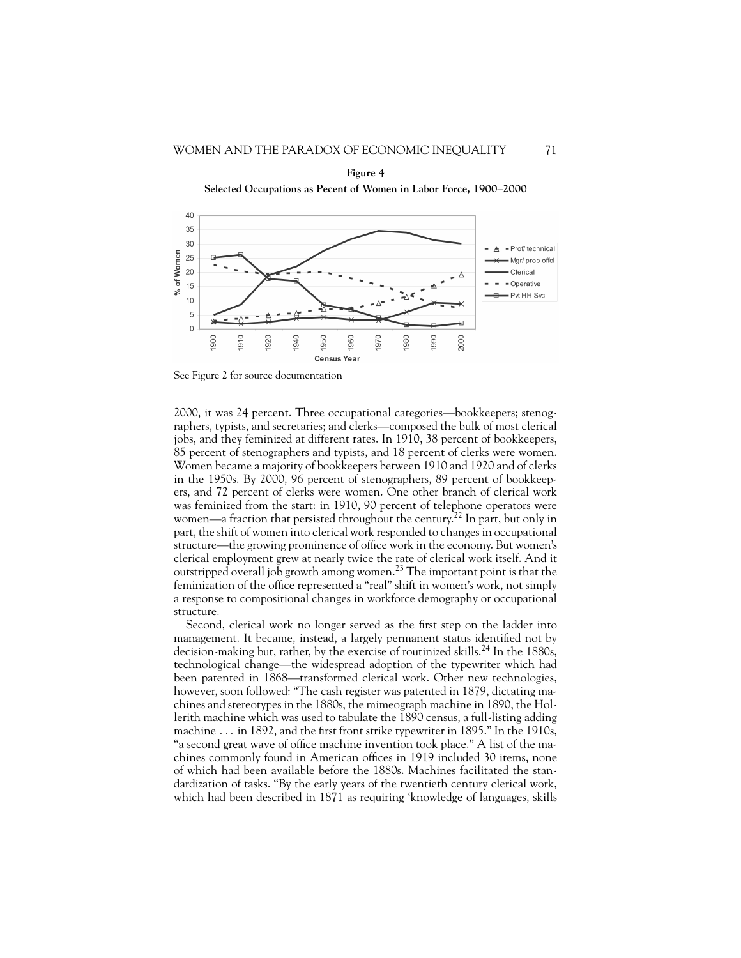



See Figure 2 for source documentation

2000, it was 24 percent. Three occupational categories—bookkeepers; stenographers, typists, and secretaries; and clerks—composed the bulk of most clerical jobs, and they feminized at different rates. In 1910, 38 percent of bookkeepers, 85 percent of stenographers and typists, and 18 percent of clerks were women. Women became a majority of bookkeepers between 1910 and 1920 and of clerks in the 1950s. By 2000, 96 percent of stenographers, 89 percent of bookkeepers, and 72 percent of clerks were women. One other branch of clerical work was feminized from the start: in 1910, 90 percent of telephone operators were women—a fraction that persisted throughout the century.<sup>22</sup> In part, but only in part, the shift of women into clerical work responded to changes in occupational structure—the growing prominence of office work in the economy. But women's clerical employment grew at nearly twice the rate of clerical work itself. And it outstripped overall job growth among women.<sup>23</sup> The important point is that the feminization of the office represented a "real" shift in women's work, not simply a response to compositional changes in workforce demography or occupational structure.

Second, clerical work no longer served as the first step on the ladder into management. It became, instead, a largely permanent status identified not by decision-making but, rather, by the exercise of routinized skills.<sup>24</sup> In the 1880s, technological change—the widespread adoption of the typewriter which had been patented in 1868—transformed clerical work. Other new technologies, however, soon followed: "The cash register was patented in 1879, dictating machines and stereotypes in the 1880s, the mimeograph machine in 1890, the Hollerith machine which was used to tabulate the 1890 census, a full-listing adding machine ... in 1892, and the first front strike typewriter in 1895." In the 1910s, "a second great wave of office machine invention took place." A list of the machines commonly found in American offices in 1919 included 30 items, none of which had been available before the 1880s. Machines facilitated the standardization of tasks. "By the early years of the twentieth century clerical work, which had been described in 1871 as requiring 'knowledge of languages, skills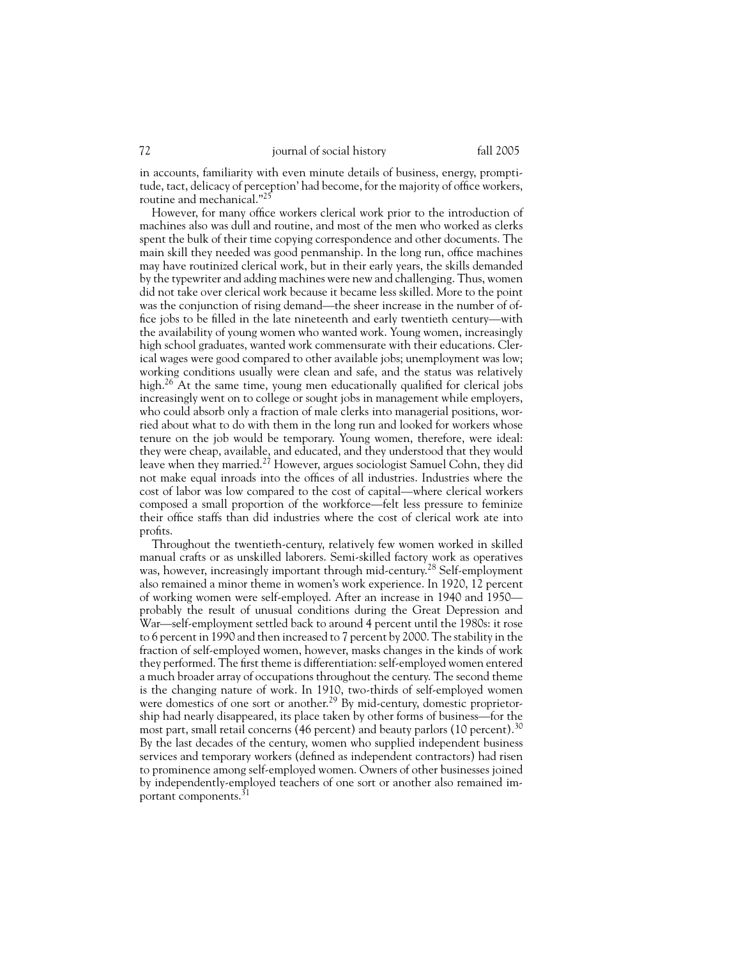in accounts, familiarity with even minute details of business, energy, promptitude, tact, delicacy of perception' had become, for the majority of office workers, routine and mechanical."<sup>25</sup>

However, for many office workers clerical work prior to the introduction of machines also was dull and routine, and most of the men who worked as clerks spent the bulk of their time copying correspondence and other documents. The main skill they needed was good penmanship. In the long run, office machines may have routinized clerical work, but in their early years, the skills demanded by the typewriter and adding machines were new and challenging. Thus, women did not take over clerical work because it became less skilled. More to the point was the conjunction of rising demand—the sheer increase in the number of office jobs to be filled in the late nineteenth and early twentieth century—with the availability of young women who wanted work. Young women, increasingly high school graduates, wanted work commensurate with their educations. Clerical wages were good compared to other available jobs; unemployment was low; working conditions usually were clean and safe, and the status was relatively high.<sup>26</sup> At the same time, young men educationally qualified for clerical jobs increasingly went on to college or sought jobs in management while employers, who could absorb only a fraction of male clerks into managerial positions, worried about what to do with them in the long run and looked for workers whose tenure on the job would be temporary. Young women, therefore, were ideal: they were cheap, available, and educated, and they understood that they would leave when they married.<sup>27</sup> However, argues sociologist Samuel Cohn, they did not make equal inroads into the offices of all industries. Industries where the cost of labor was low compared to the cost of capital—where clerical workers composed a small proportion of the workforce—felt less pressure to feminize their office staffs than did industries where the cost of clerical work ate into profits.

Throughout the twentieth-century, relatively few women worked in skilled manual crafts or as unskilled laborers. Semi-skilled factory work as operatives was, however, increasingly important through mid-century.<sup>28</sup> Self-employment also remained a minor theme in women's work experience. In 1920, 12 percent of working women were self-employed. After an increase in 1940 and 1950 probably the result of unusual conditions during the Great Depression and War—self-employment settled back to around 4 percent until the 1980s: it rose to 6 percent in 1990 and then increased to 7 percent by 2000. The stability in the fraction of self-employed women, however, masks changes in the kinds of work they performed. The first theme is differentiation: self-employed women entered a much broader array of occupations throughout the century. The second theme is the changing nature of work. In 1910, two-thirds of self-employed women were domestics of one sort or another.<sup>29</sup> By mid-century, domestic proprietorship had nearly disappeared, its place taken by other forms of business—for the most part, small retail concerns (46 percent) and beauty parlors (10 percent).<sup>30</sup> By the last decades of the century, women who supplied independent business services and temporary workers (defined as independent contractors) had risen to prominence among self-employed women. Owners of other businesses joined by independently-employed teachers of one sort or another also remained important components.<sup>31</sup>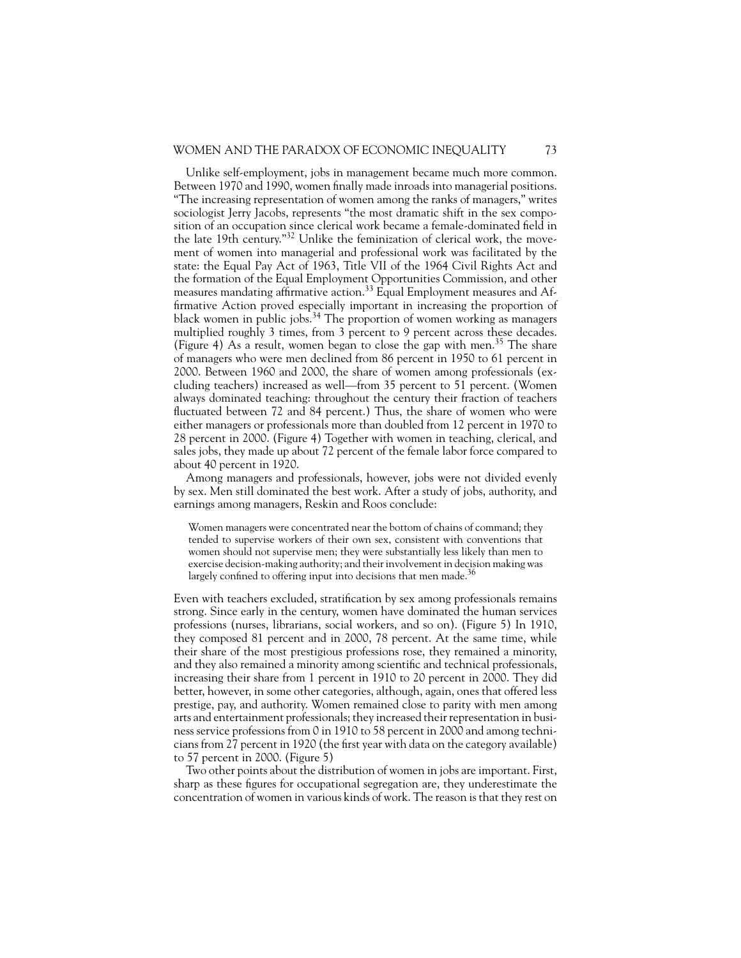Unlike self-employment, jobs in management became much more common. Between 1970 and 1990, women finally made inroads into managerial positions. "The increasing representation of women among the ranks of managers," writes sociologist Jerry Jacobs, represents "the most dramatic shift in the sex composition of an occupation since clerical work became a female-dominated field in the late 19th century."<sup>32</sup> Unlike the feminization of clerical work, the movement of women into managerial and professional work was facilitated by the state: the Equal Pay Act of 1963, Title VII of the 1964 Civil Rights Act and the formation of the Equal Employment Opportunities Commission, and other measures mandating affirmative action.<sup>33</sup> Equal Employment measures and Affirmative Action proved especially important in increasing the proportion of black women in public jobs.<sup>34</sup> The proportion of women working as managers multiplied roughly 3 times, from 3 percent to 9 percent across these decades. (Figure 4) As a result, women began to close the gap with men.<sup>35</sup> The share of managers who were men declined from 86 percent in 1950 to 61 percent in 2000. Between 1960 and 2000, the share of women among professionals (excluding teachers) increased as well—from 35 percent to 51 percent. (Women always dominated teaching: throughout the century their fraction of teachers fluctuated between 72 and 84 percent.) Thus, the share of women who were either managers or professionals more than doubled from 12 percent in 1970 to 28 percent in 2000. (Figure 4) Together with women in teaching, clerical, and sales jobs, they made up about 72 percent of the female labor force compared to about 40 percent in 1920.

Among managers and professionals, however, jobs were not divided evenly by sex. Men still dominated the best work. After a study of jobs, authority, and earnings among managers, Reskin and Roos conclude:

Women managers were concentrated near the bottom of chains of command; they tended to supervise workers of their own sex, consistent with conventions that women should not supervise men; they were substantially less likely than men to exercise decision-making authority; and their involvement in decision making was largely confined to offering input into decisions that men made. $36$ 

Even with teachers excluded, stratification by sex among professionals remains strong. Since early in the century, women have dominated the human services professions (nurses, librarians, social workers, and so on). (Figure 5) In 1910, they composed 81 percent and in 2000, 78 percent. At the same time, while their share of the most prestigious professions rose, they remained a minority, and they also remained a minority among scientific and technical professionals, increasing their share from 1 percent in 1910 to 20 percent in 2000. They did better, however, in some other categories, although, again, ones that offered less prestige, pay, and authority. Women remained close to parity with men among arts and entertainment professionals; they increased their representation in business service professions from 0 in 1910 to 58 percent in 2000 and among technicians from 27 percent in 1920 (the first year with data on the category available) to 57 percent in 2000. (Figure 5)

Two other points about the distribution of women in jobs are important. First, sharp as these figures for occupational segregation are, they underestimate the concentration of women in various kinds of work. The reason is that they rest on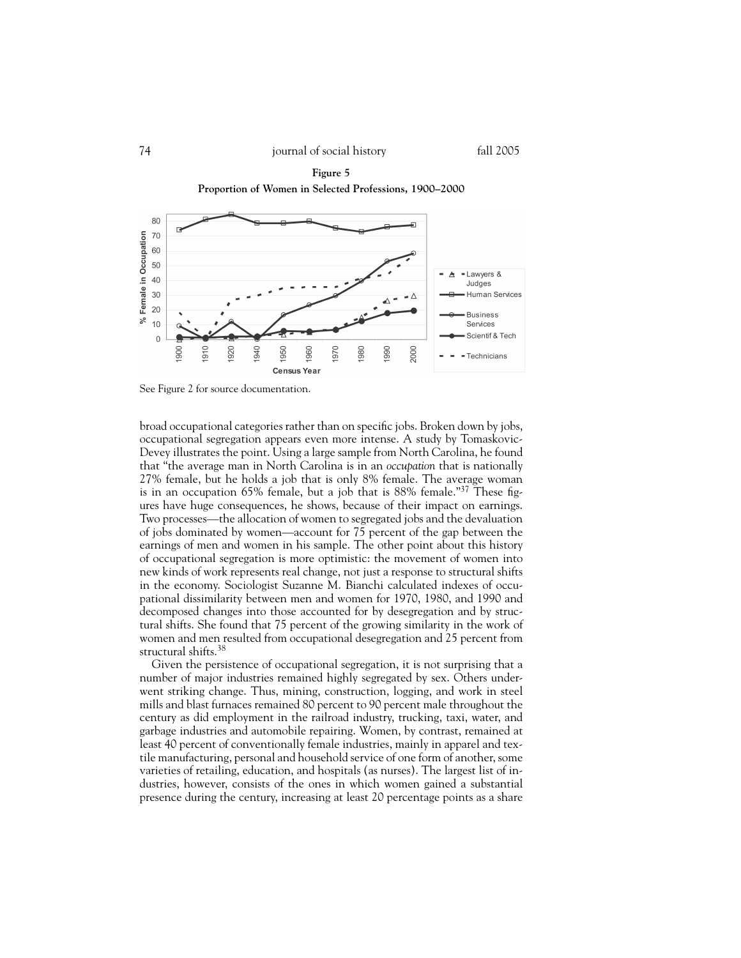

**Figure 5 Proportion of Women in Selected Professions, 1900–2000**

See Figure 2 for source documentation.

broad occupational categories rather than on specific jobs. Broken down by jobs, occupational segregation appears even more intense. A study by Tomaskovic-Devey illustrates the point. Using a large sample from North Carolina, he found that "the average man in North Carolina is in an *occupation* that is nationally 27% female, but he holds a job that is only 8% female. The average woman is in an occupation 65% female, but a job that is 88% female."<sup>37</sup> These figures have huge consequences, he shows, because of their impact on earnings. Two processes—the allocation of women to segregated jobs and the devaluation of jobs dominated by women—account for 75 percent of the gap between the earnings of men and women in his sample. The other point about this history of occupational segregation is more optimistic: the movement of women into new kinds of work represents real change, not just a response to structural shifts in the economy. Sociologist Suzanne M. Bianchi calculated indexes of occupational dissimilarity between men and women for 1970, 1980, and 1990 and decomposed changes into those accounted for by desegregation and by structural shifts. She found that 75 percent of the growing similarity in the work of women and men resulted from occupational desegregation and 25 percent from structural shifts.<sup>38</sup>

Given the persistence of occupational segregation, it is not surprising that a number of major industries remained highly segregated by sex. Others underwent striking change. Thus, mining, construction, logging, and work in steel mills and blast furnaces remained 80 percent to 90 percent male throughout the century as did employment in the railroad industry, trucking, taxi, water, and garbage industries and automobile repairing. Women, by contrast, remained at least 40 percent of conventionally female industries, mainly in apparel and textile manufacturing, personal and household service of one form of another, some varieties of retailing, education, and hospitals (as nurses). The largest list of industries, however, consists of the ones in which women gained a substantial presence during the century, increasing at least 20 percentage points as a share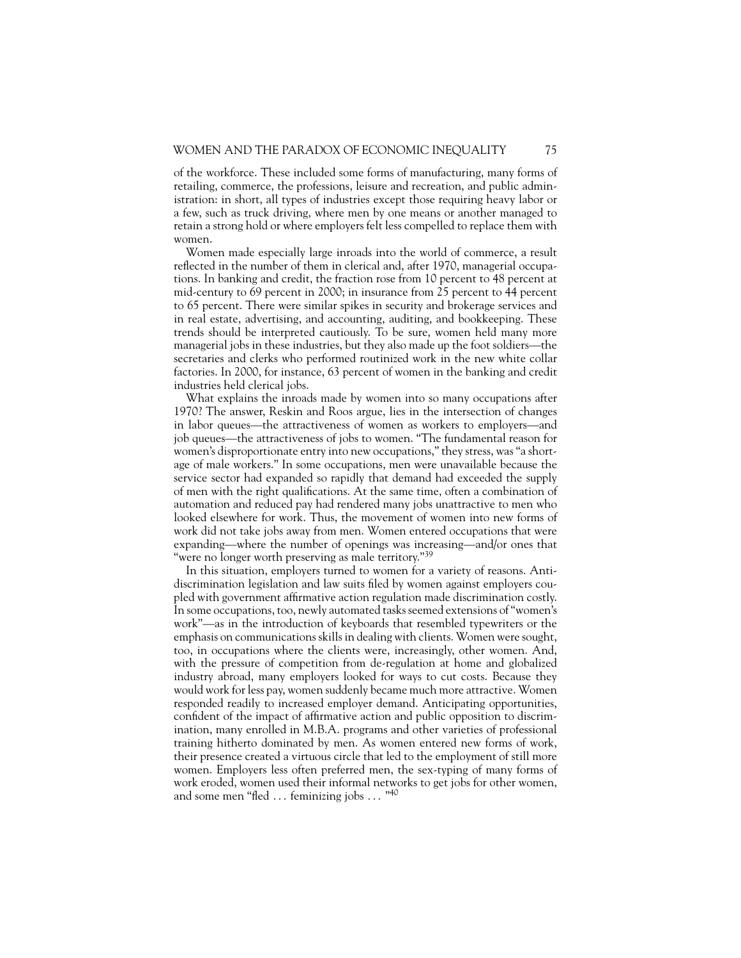of the workforce. These included some forms of manufacturing, many forms of retailing, commerce, the professions, leisure and recreation, and public administration: in short, all types of industries except those requiring heavy labor or a few, such as truck driving, where men by one means or another managed to retain a strong hold or where employers felt less compelled to replace them with women.

Women made especially large inroads into the world of commerce, a result reflected in the number of them in clerical and, after 1970, managerial occupations. In banking and credit, the fraction rose from 10 percent to 48 percent at mid-century to 69 percent in 2000; in insurance from 25 percent to 44 percent to 65 percent. There were similar spikes in security and brokerage services and in real estate, advertising, and accounting, auditing, and bookkeeping. These trends should be interpreted cautiously. To be sure, women held many more managerial jobs in these industries, but they also made up the foot soldiers—the secretaries and clerks who performed routinized work in the new white collar factories. In 2000, for instance, 63 percent of women in the banking and credit industries held clerical jobs.

What explains the inroads made by women into so many occupations after 1970? The answer, Reskin and Roos argue, lies in the intersection of changes in labor queues—the attractiveness of women as workers to employers—and job queues—the attractiveness of jobs to women. "The fundamental reason for women's disproportionate entry into new occupations," they stress, was "a shortage of male workers." In some occupations, men were unavailable because the service sector had expanded so rapidly that demand had exceeded the supply of men with the right qualifications. At the same time, often a combination of automation and reduced pay had rendered many jobs unattractive to men who looked elsewhere for work. Thus, the movement of women into new forms of work did not take jobs away from men. Women entered occupations that were expanding—where the number of openings was increasing—and/or ones that "were no longer worth preserving as male territory."<sup>39</sup>

In this situation, employers turned to women for a variety of reasons. Antidiscrimination legislation and law suits filed by women against employers coupled with government affirmative action regulation made discrimination costly. In some occupations, too, newly automated tasks seemed extensions of "women's work"—as in the introduction of keyboards that resembled typewriters or the emphasis on communications skills in dealing with clients. Women were sought, too, in occupations where the clients were, increasingly, other women. And, with the pressure of competition from de-regulation at home and globalized industry abroad, many employers looked for ways to cut costs. Because they would work for less pay, women suddenly became much more attractive. Women responded readily to increased employer demand. Anticipating opportunities, confident of the impact of affirmative action and public opposition to discrimination, many enrolled in M.B.A. programs and other varieties of professional training hitherto dominated by men. As women entered new forms of work, their presence created a virtuous circle that led to the employment of still more women. Employers less often preferred men, the sex-typing of many forms of work eroded, women used their informal networks to get jobs for other women, and some men "fled  $\,\dots\,$  feminizing jobs  $\,\dots\,$  "<sup>40</sup>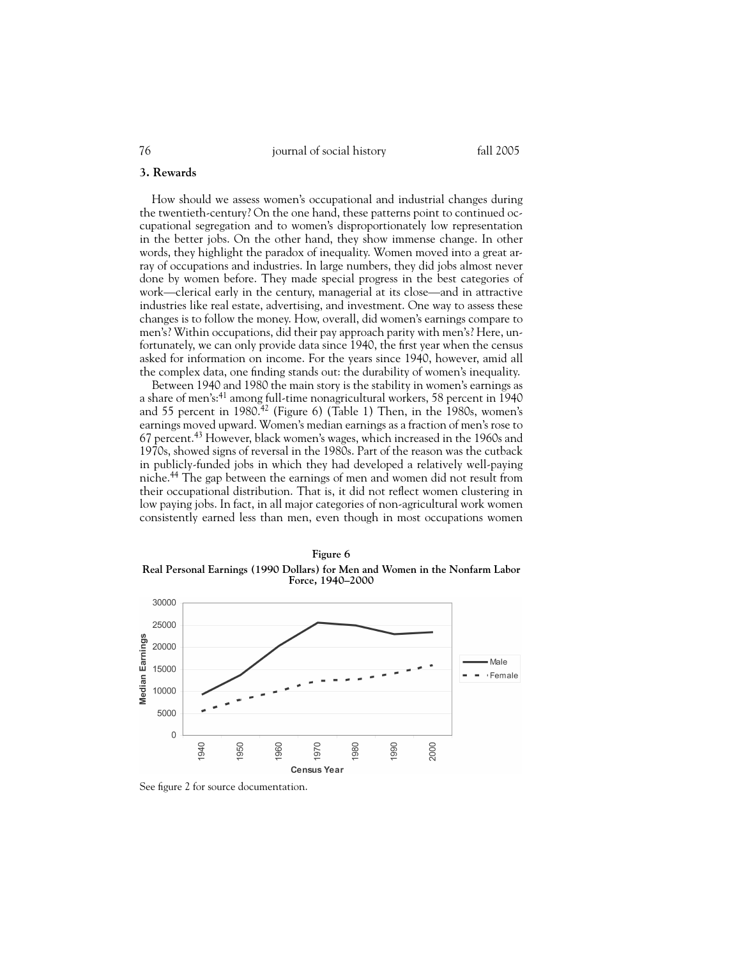#### **3. Rewards**

How should we assess women's occupational and industrial changes during the twentieth-century? On the one hand, these patterns point to continued occupational segregation and to women's disproportionately low representation in the better jobs. On the other hand, they show immense change. In other words, they highlight the paradox of inequality. Women moved into a great array of occupations and industries. In large numbers, they did jobs almost never done by women before. They made special progress in the best categories of work—clerical early in the century, managerial at its close—and in attractive industries like real estate, advertising, and investment. One way to assess these changes is to follow the money. How, overall, did women's earnings compare to men's? Within occupations, did their pay approach parity with men's? Here, unfortunately, we can only provide data since 1940, the first year when the census asked for information on income. For the years since 1940, however, amid all the complex data, one finding stands out: the durability of women's inequality.

Between 1940 and 1980 the main story is the stability in women's earnings as a share of men's:<sup>41</sup> among full-time nonagricultural workers, 58 percent in 1940 and 55 percent in 1980.<sup>42</sup> (Figure 6) (Table 1) Then, in the 1980s, women's earnings moved upward. Women's median earnings as a fraction of men's rose to 67 percent.<sup>43</sup> However, black women's wages, which increased in the 1960s and 1970s, showed signs of reversal in the 1980s. Part of the reason was the cutback in publicly-funded jobs in which they had developed a relatively well-paying niche.<sup>44</sup> The gap between the earnings of men and women did not result from their occupational distribution. That is, it did not reflect women clustering in low paying jobs. In fact, in all major categories of non-agricultural work women consistently earned less than men, even though in most occupations women





See figure 2 for source documentation.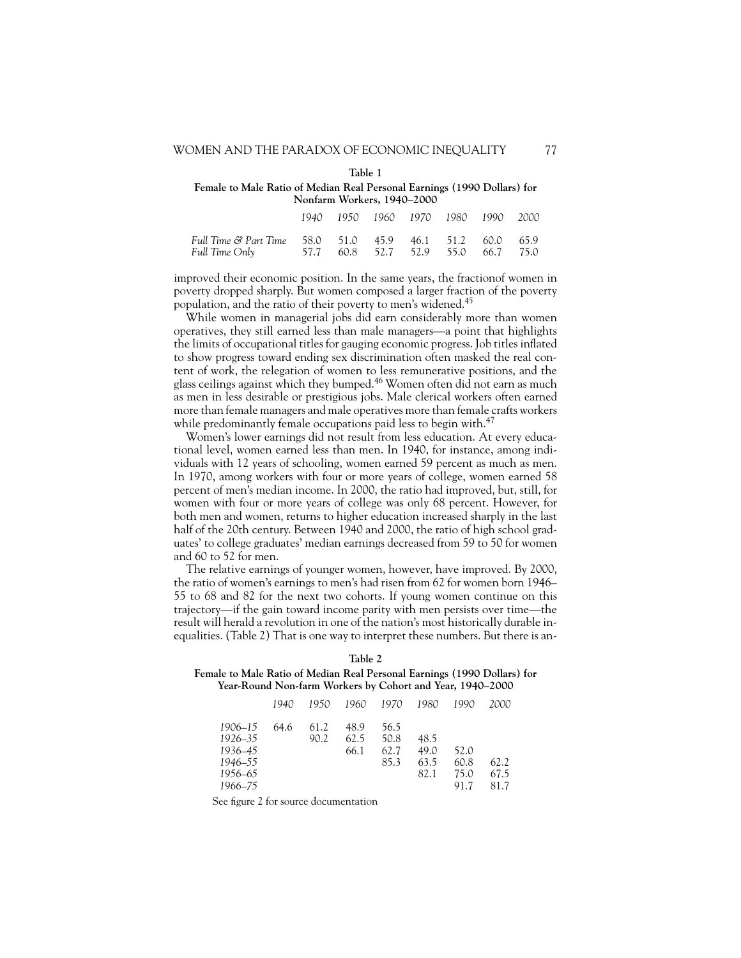| ۰.<br>۰.<br>v<br>۰, |  |
|---------------------|--|

**Female to Male Ratio of Median Real Personal Earnings (1990 Dollars) for Nonfarm Workers, 1940–2000**

|                                                                            |  | 1940 1950 1960 1970 1980 1990 2000 |  |  |
|----------------------------------------------------------------------------|--|------------------------------------|--|--|
| Full Time & Part Time 58.0 51.0 45.9 46.1 51.2 60.0 65.9<br>Full Time Only |  | 57.7 60.8 52.7 52.9 55.0 66.7 75.0 |  |  |

improved their economic position. In the same years, the fractionof women in poverty dropped sharply. But women composed a larger fraction of the poverty population, and the ratio of their poverty to men's widened.<sup>45</sup>

While women in managerial jobs did earn considerably more than women operatives, they still earned less than male managers—a point that highlights the limits of occupational titles for gauging economic progress. Job titles inflated to show progress toward ending sex discrimination often masked the real content of work, the relegation of women to less remunerative positions, and the glass ceilings against which they bumped.<sup>46</sup> Women often did not earn as much as men in less desirable or prestigious jobs. Male clerical workers often earned more than female managers and male operatives more than female crafts workers while predominantly female occupations paid less to begin with.<sup>47</sup>

Women's lower earnings did not result from less education. At every educational level, women earned less than men. In 1940, for instance, among individuals with 12 years of schooling, women earned 59 percent as much as men. In 1970, among workers with four or more years of college, women earned 58 percent of men's median income. In 2000, the ratio had improved, but, still, for women with four or more years of college was only 68 percent. However, for both men and women, returns to higher education increased sharply in the last half of the 20th century. Between 1940 and 2000, the ratio of high school graduates' to college graduates' median earnings decreased from 59 to 50 for women and 60 to 52 for men.

The relative earnings of younger women, however, have improved. By 2000, the ratio of women's earnings to men's had risen from 62 for women born 1946– 55 to 68 and 82 for the next two cohorts. If young women continue on this trajectory—if the gain toward income parity with men persists over time—the result will herald a revolution in one of the nation's most historically durable inequalities. (Table 2) That is one way to interpret these numbers. But there is an-

| Female to Male Ratio of Median Real Personal Earnings (1990 Dollars) for |
|--------------------------------------------------------------------------|
| Year-Round Non-farm Workers by Cohort and Year, 1940–2000                |
|                                                                          |

**Table 2**

|         |      |      |      | 1940 1950 1960 1970 1980 1990 |      |      | - 2000 |
|---------|------|------|------|-------------------------------|------|------|--------|
| 1906–15 | 64.6 | 61.2 | 48.9 | 56.5                          |      |      |        |
| 1926–35 |      | 90.2 | 62.5 | 50.8                          | 48.5 |      |        |
| 1936–45 |      |      | 66.1 | 62.7                          | 49.0 | 52.0 |        |
| 1946–55 |      |      |      | 85.3                          | 63.5 | 60.8 | 62.2   |
| 1956–65 |      |      |      |                               | 82.1 | 75.0 | 67.5   |
| 1966–75 |      |      |      |                               |      | 91.7 | 81.7   |

See figure 2 for source documentation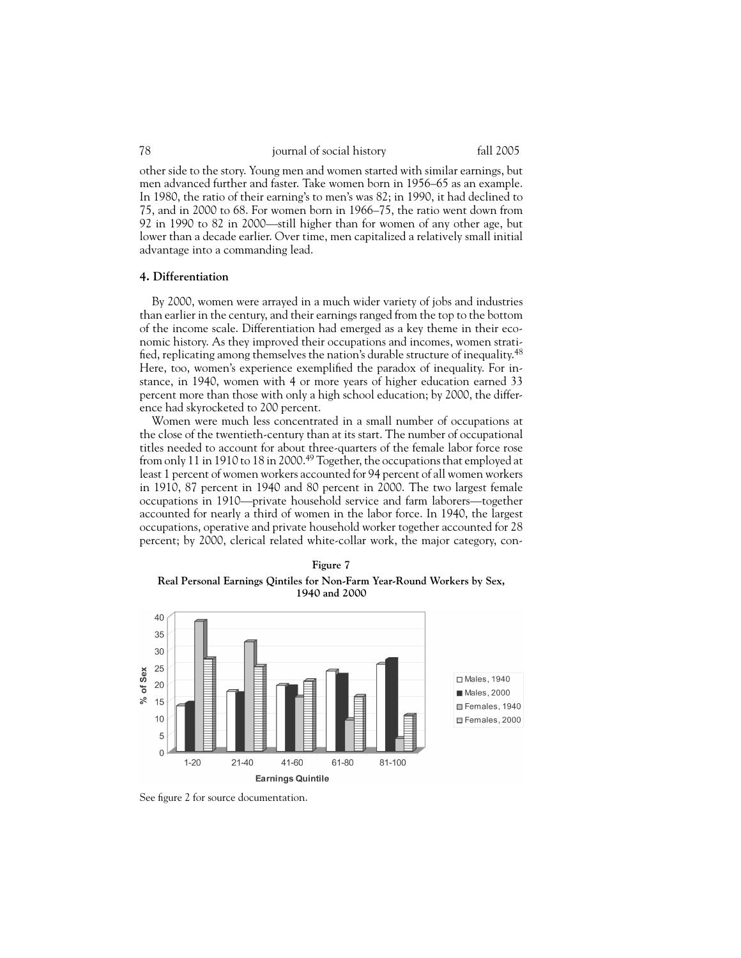other side to the story. Young men and women started with similar earnings, but men advanced further and faster. Take women born in 1956–65 as an example. In 1980, the ratio of their earning's to men's was 82; in 1990, it had declined to 75, and in 2000 to 68. For women born in 1966–75, the ratio went down from 92 in 1990 to 82 in 2000—still higher than for women of any other age, but lower than a decade earlier. Over time, men capitalized a relatively small initial advantage into a commanding lead.

#### **4. Differentiation**

By 2000, women were arrayed in a much wider variety of jobs and industries than earlier in the century, and their earnings ranged from the top to the bottom of the income scale. Differentiation had emerged as a key theme in their economic history. As they improved their occupations and incomes, women stratified, replicating among themselves the nation's durable structure of inequality.<sup>48</sup> Here, too, women's experience exemplified the paradox of inequality. For instance, in 1940, women with 4 or more years of higher education earned 33 percent more than those with only a high school education; by 2000, the difference had skyrocketed to 200 percent.

Women were much less concentrated in a small number of occupations at the close of the twentieth-century than at its start. The number of occupational titles needed to account for about three-quarters of the female labor force rose from only 11 in 1910 to 18 in 2000.<sup>49</sup> Together, the occupations that employed at least 1 percent of women workers accounted for 94 percent of all women workers in 1910, 87 percent in 1940 and 80 percent in 2000. The two largest female occupations in 1910—private household service and farm laborers—together accounted for nearly a third of women in the labor force. In 1940, the largest occupations, operative and private household worker together accounted for 28 percent; by 2000, clerical related white-collar work, the major category, con-





See figure 2 for source documentation.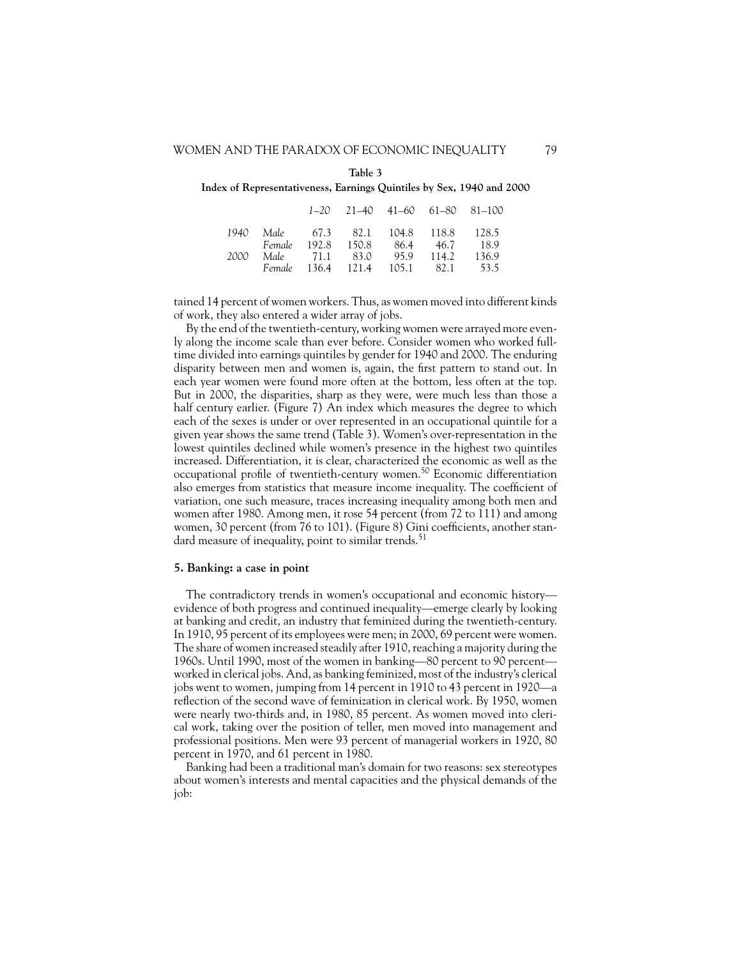#### **Table 3**

**Index of Representativeness, Earnings Quintiles by Sex, 1940 and 2000**

|                                       |                                   |  | $1-20$ $21-40$ $41-60$ $61-80$ $81-100$ |
|---------------------------------------|-----------------------------------|--|-----------------------------------------|
| 1940 Male 67.3 82.1 104.8 118.8 128.5 |                                   |  |                                         |
|                                       | Female 192.8 150.8 86.4 46.7 18.9 |  |                                         |
| 2000 Male 71.1 83.0 95.9 114.2 136.9  |                                   |  |                                         |
|                                       |                                   |  | Female 136.4 121.4 105.1 82.1 53.5      |

tained 14 percent of women workers. Thus, as women moved into different kinds of work, they also entered a wider array of jobs.

By the end of the twentieth-century, working women were arrayed more evenly along the income scale than ever before. Consider women who worked fulltime divided into earnings quintiles by gender for 1940 and 2000. The enduring disparity between men and women is, again, the first pattern to stand out. In each year women were found more often at the bottom, less often at the top. But in 2000, the disparities, sharp as they were, were much less than those a half century earlier. (Figure 7) An index which measures the degree to which each of the sexes is under or over represented in an occupational quintile for a given year shows the same trend (Table 3). Women's over-representation in the lowest quintiles declined while women's presence in the highest two quintiles increased. Differentiation, it is clear, characterized the economic as well as the occupational profile of twentieth-century women.<sup>50</sup> Economic differentiation also emerges from statistics that measure income inequality. The coefficient of variation, one such measure, traces increasing inequality among both men and women after 1980. Among men, it rose 54 percent (from 72 to 111) and among women, 30 percent (from 76 to 101). (Figure 8) Gini coefficients, another standard measure of inequality, point to similar trends.<sup>51</sup>

#### **5. Banking: a case in point**

The contradictory trends in women's occupational and economic history evidence of both progress and continued inequality—emerge clearly by looking at banking and credit, an industry that feminized during the twentieth-century. In 1910, 95 percent of its employees were men; in 2000, 69 percent were women. The share of women increased steadily after 1910, reaching a majority during the 1960s. Until 1990, most of the women in banking—80 percent to 90 percent worked in clerical jobs. And, as banking feminized, most of the industry's clerical jobs went to women, jumping from 14 percent in 1910 to 43 percent in 1920—a reflection of the second wave of feminization in clerical work. By 1950, women were nearly two-thirds and, in 1980, 85 percent. As women moved into clerical work, taking over the position of teller, men moved into management and professional positions. Men were 93 percent of managerial workers in 1920, 80 percent in 1970, and 61 percent in 1980.

Banking had been a traditional man's domain for two reasons: sex stereotypes about women's interests and mental capacities and the physical demands of the job: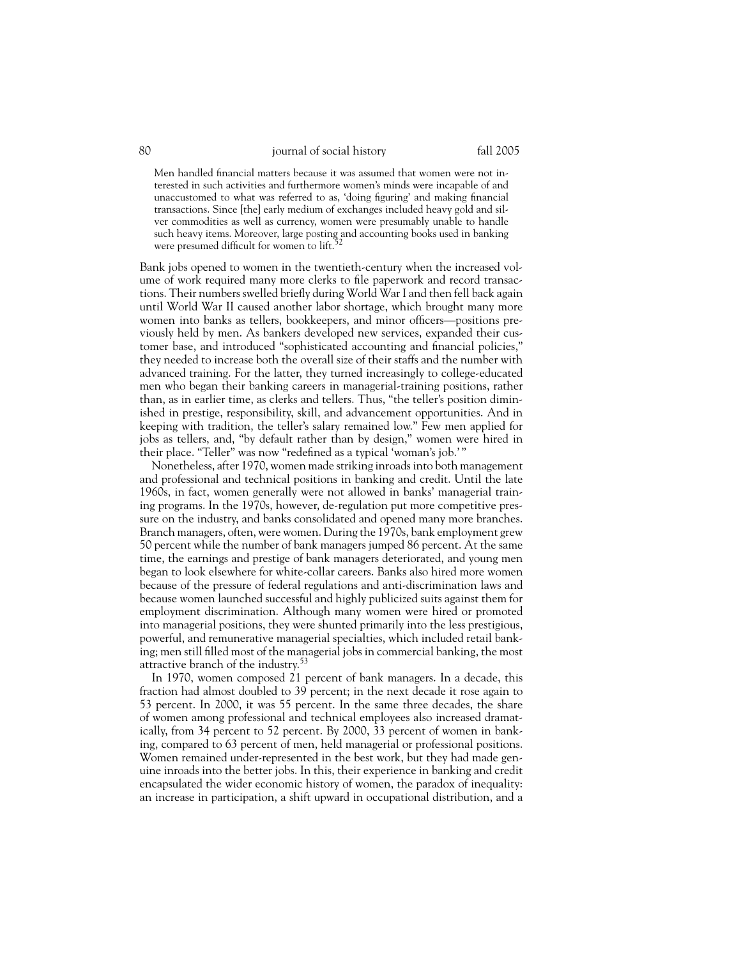Men handled financial matters because it was assumed that women were not interested in such activities and furthermore women's minds were incapable of and unaccustomed to what was referred to as, 'doing figuring' and making financial transactions. Since [the] early medium of exchanges included heavy gold and silver commodities as well as currency, women were presumably unable to handle such heavy items. Moreover, large posting and accounting books used in banking were presumed difficult for women to  $\text{lift}$ <sup>52</sup>

Bank jobs opened to women in the twentieth-century when the increased volume of work required many more clerks to file paperwork and record transactions. Their numbers swelled briefly during World War I and then fell back again until World War II caused another labor shortage, which brought many more women into banks as tellers, bookkeepers, and minor officers—positions previously held by men. As bankers developed new services, expanded their customer base, and introduced "sophisticated accounting and financial policies," they needed to increase both the overall size of their staffs and the number with advanced training. For the latter, they turned increasingly to college-educated men who began their banking careers in managerial-training positions, rather than, as in earlier time, as clerks and tellers. Thus, "the teller's position diminished in prestige, responsibility, skill, and advancement opportunities. And in keeping with tradition, the teller's salary remained low." Few men applied for jobs as tellers, and, "by default rather than by design," women were hired in their place. "Teller" was now "redefined as a typical 'woman's job.' "

Nonetheless, after 1970, women made striking inroads into both management and professional and technical positions in banking and credit. Until the late 1960s, in fact, women generally were not allowed in banks' managerial training programs. In the 1970s, however, de-regulation put more competitive pressure on the industry, and banks consolidated and opened many more branches. Branch managers, often, were women. During the 1970s, bank employment grew 50 percent while the number of bank managers jumped 86 percent. At the same time, the earnings and prestige of bank managers deteriorated, and young men began to look elsewhere for white-collar careers. Banks also hired more women because of the pressure of federal regulations and anti-discrimination laws and because women launched successful and highly publicized suits against them for employment discrimination. Although many women were hired or promoted into managerial positions, they were shunted primarily into the less prestigious, powerful, and remunerative managerial specialties, which included retail banking; men still filled most of the managerial jobs in commercial banking, the most attractive branch of the industry.<sup>53</sup>

In 1970, women composed 21 percent of bank managers. In a decade, this fraction had almost doubled to 39 percent; in the next decade it rose again to 53 percent. In 2000, it was 55 percent. In the same three decades, the share of women among professional and technical employees also increased dramatically, from 34 percent to 52 percent. By 2000, 33 percent of women in banking, compared to 63 percent of men, held managerial or professional positions. Women remained under-represented in the best work, but they had made genuine inroads into the better jobs. In this, their experience in banking and credit encapsulated the wider economic history of women, the paradox of inequality: an increase in participation, a shift upward in occupational distribution, and a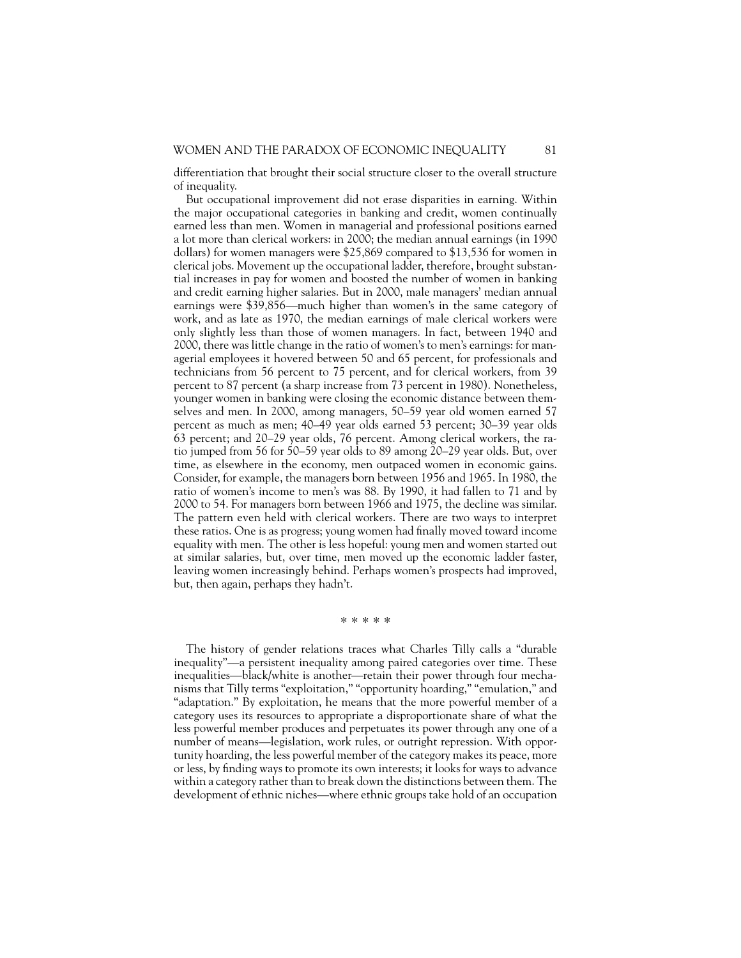differentiation that brought their social structure closer to the overall structure of inequality.

But occupational improvement did not erase disparities in earning. Within the major occupational categories in banking and credit, women continually earned less than men. Women in managerial and professional positions earned a lot more than clerical workers: in 2000; the median annual earnings (in 1990 dollars) for women managers were \$25,869 compared to \$13,536 for women in clerical jobs. Movement up the occupational ladder, therefore, brought substantial increases in pay for women and boosted the number of women in banking and credit earning higher salaries. But in 2000, male managers' median annual earnings were \$39,856—much higher than women's in the same category of work, and as late as 1970, the median earnings of male clerical workers were only slightly less than those of women managers. In fact, between 1940 and 2000, there was little change in the ratio of women's to men's earnings: for managerial employees it hovered between 50 and 65 percent, for professionals and technicians from 56 percent to 75 percent, and for clerical workers, from 39 percent to 87 percent (a sharp increase from 73 percent in 1980). Nonetheless, younger women in banking were closing the economic distance between themselves and men. In 2000, among managers, 50–59 year old women earned 57 percent as much as men; 40–49 year olds earned 53 percent; 30–39 year olds 63 percent; and 20–29 year olds, 76 percent. Among clerical workers, the ratio jumped from 56 for 50–59 year olds to 89 among 20–29 year olds. But, over time, as elsewhere in the economy, men outpaced women in economic gains. Consider, for example, the managers born between 1956 and 1965. In 1980, the ratio of women's income to men's was 88. By 1990, it had fallen to 71 and by 2000 to 54. For managers born between 1966 and 1975, the decline was similar. The pattern even held with clerical workers. There are two ways to interpret these ratios. One is as progress; young women had finally moved toward income equality with men. The other is less hopeful: young men and women started out at similar salaries, but, over time, men moved up the economic ladder faster, leaving women increasingly behind. Perhaps women's prospects had improved, but, then again, perhaps they hadn't.

#### \* \* \* \* \*

The history of gender relations traces what Charles Tilly calls a "durable inequality"—a persistent inequality among paired categories over time. These inequalities—black/white is another—retain their power through four mechanisms that Tilly terms "exploitation," "opportunity hoarding," "emulation," and "adaptation." By exploitation, he means that the more powerful member of a category uses its resources to appropriate a disproportionate share of what the less powerful member produces and perpetuates its power through any one of a number of means—legislation, work rules, or outright repression. With opportunity hoarding, the less powerful member of the category makes its peace, more or less, by finding ways to promote its own interests; it looks for ways to advance within a category rather than to break down the distinctions between them. The development of ethnic niches—where ethnic groups take hold of an occupation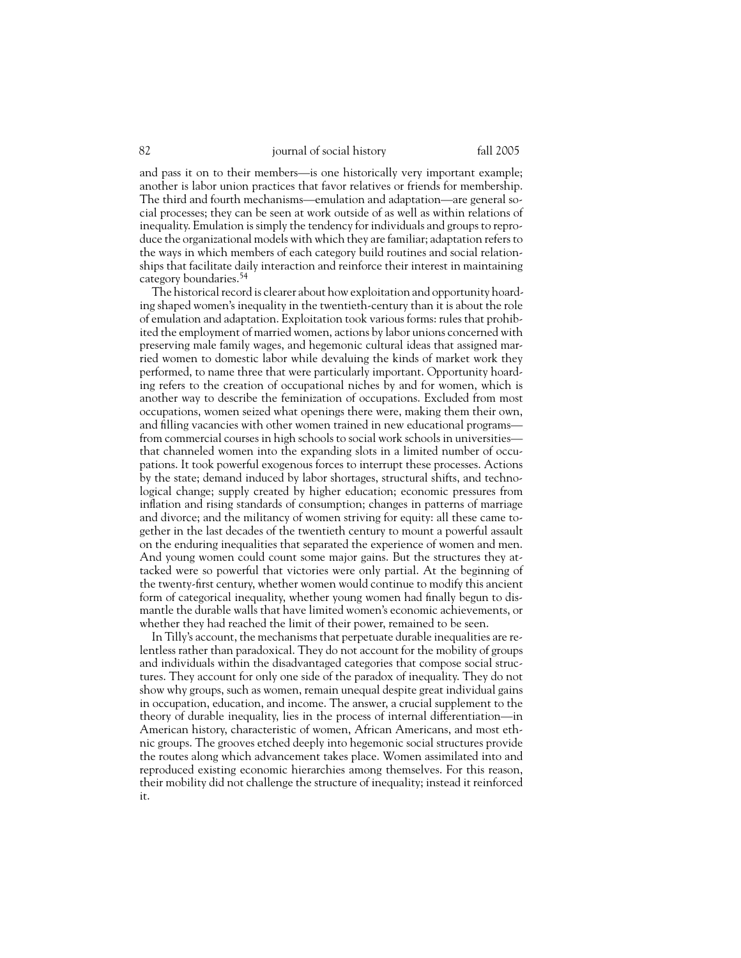and pass it on to their members—is one historically very important example; another is labor union practices that favor relatives or friends for membership. The third and fourth mechanisms—emulation and adaptation—are general social processes; they can be seen at work outside of as well as within relations of inequality. Emulation is simply the tendency for individuals and groups to reproduce the organizational models with which they are familiar; adaptation refers to the ways in which members of each category build routines and social relationships that facilitate daily interaction and reinforce their interest in maintaining category boundaries.<sup>54</sup>

The historical record is clearer about how exploitation and opportunity hoarding shaped women's inequality in the twentieth-century than it is about the role of emulation and adaptation. Exploitation took various forms: rules that prohibited the employment of married women, actions by labor unions concerned with preserving male family wages, and hegemonic cultural ideas that assigned married women to domestic labor while devaluing the kinds of market work they performed, to name three that were particularly important. Opportunity hoarding refers to the creation of occupational niches by and for women, which is another way to describe the feminization of occupations. Excluded from most occupations, women seized what openings there were, making them their own, and filling vacancies with other women trained in new educational programs from commercial courses in high schools to social work schools in universities that channeled women into the expanding slots in a limited number of occupations. It took powerful exogenous forces to interrupt these processes. Actions by the state; demand induced by labor shortages, structural shifts, and technological change; supply created by higher education; economic pressures from inflation and rising standards of consumption; changes in patterns of marriage and divorce; and the militancy of women striving for equity: all these came together in the last decades of the twentieth century to mount a powerful assault on the enduring inequalities that separated the experience of women and men. And young women could count some major gains. But the structures they attacked were so powerful that victories were only partial. At the beginning of the twenty-first century, whether women would continue to modify this ancient form of categorical inequality, whether young women had finally begun to dismantle the durable walls that have limited women's economic achievements, or whether they had reached the limit of their power, remained to be seen.

In Tilly's account, the mechanisms that perpetuate durable inequalities are relentless rather than paradoxical. They do not account for the mobility of groups and individuals within the disadvantaged categories that compose social structures. They account for only one side of the paradox of inequality. They do not show why groups, such as women, remain unequal despite great individual gains in occupation, education, and income. The answer, a crucial supplement to the theory of durable inequality, lies in the process of internal differentiation—in American history, characteristic of women, African Americans, and most ethnic groups. The grooves etched deeply into hegemonic social structures provide the routes along which advancement takes place. Women assimilated into and reproduced existing economic hierarchies among themselves. For this reason, their mobility did not challenge the structure of inequality; instead it reinforced it.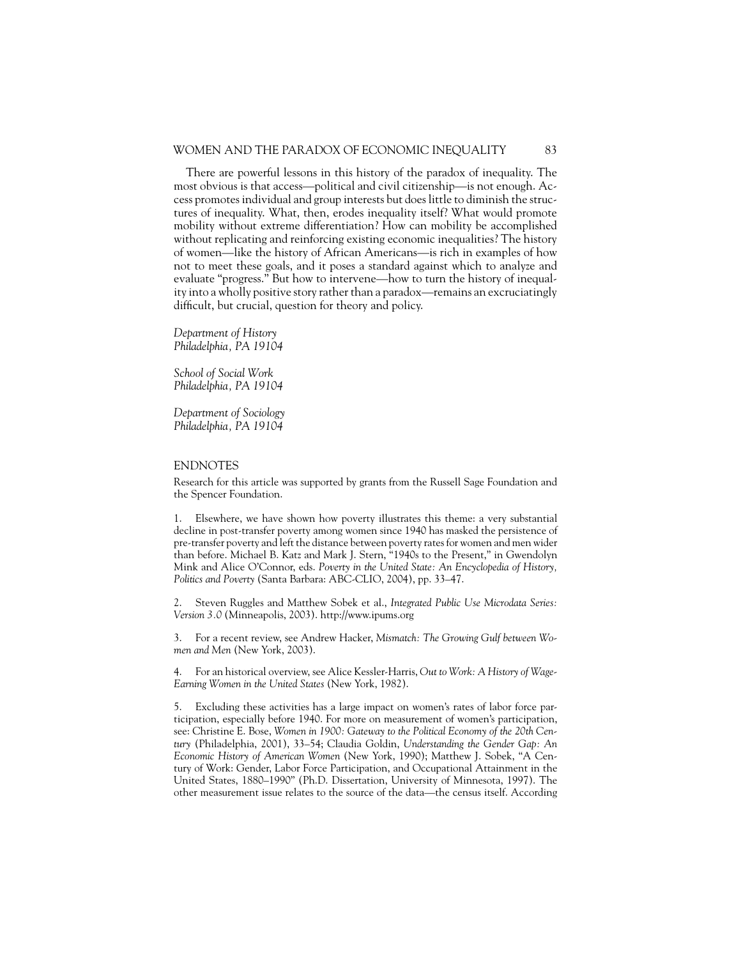#### WOMEN AND THE PARADOX OF ECONOMIC INEQUALITY 83

There are powerful lessons in this history of the paradox of inequality. The most obvious is that access—political and civil citizenship—is not enough. Access promotes individual and group interests but does little to diminish the structures of inequality. What, then, erodes inequality itself? What would promote mobility without extreme differentiation? How can mobility be accomplished without replicating and reinforcing existing economic inequalities? The history of women—like the history of African Americans—is rich in examples of how not to meet these goals, and it poses a standard against which to analyze and evaluate "progress." But how to intervene—how to turn the history of inequality into a wholly positive story rather than a paradox—remains an excruciatingly difficult, but crucial, question for theory and policy.

*Department of History Philadelphia, PA 19104*

*School of Social Work Philadelphia, PA 19104*

*Department of Sociology Philadelphia, PA 19104*

#### ENDNOTES

Research for this article was supported by grants from the Russell Sage Foundation and the Spencer Foundation.

1. Elsewhere, we have shown how poverty illustrates this theme: a very substantial decline in post-transfer poverty among women since 1940 has masked the persistence of pre-transfer poverty and left the distance between poverty rates for women and men wider than before. Michael B. Katz and Mark J. Stern, "1940s to the Present," in Gwendolyn Mink and Alice O'Connor, eds. *Poverty in the United State: An Encyclopedia of History, Politics and Poverty* (Santa Barbara: ABC-CLIO, 2004), pp. 33–47.

2. Steven Ruggles and Matthew Sobek et al., *Integrated Public Use Microdata Series: Version 3.0* (Minneapolis, 2003). http://www.ipums.org

3. For a recent review, see Andrew Hacker, *Mismatch: The Growing Gulf between Women and Men* (New York, 2003).

4. For an historical overview, see Alice Kessler-Harris, *Out to Work: A History of Wage-Earning Women in the United States* (New York, 1982).

5. Excluding these activities has a large impact on women's rates of labor force participation, especially before 1940. For more on measurement of women's participation, see: Christine E. Bose, *Women in 1900: Gateway to the Political Economy of the 20th Century* (Philadelphia, 2001), 33–54; Claudia Goldin, *Understanding the Gender Gap: An Economic History of American Women* (New York, 1990); Matthew J. Sobek, "A Century of Work: Gender, Labor Force Participation, and Occupational Attainment in the United States, 1880–1990" (Ph.D. Dissertation, University of Minnesota, 1997). The other measurement issue relates to the source of the data—the census itself. According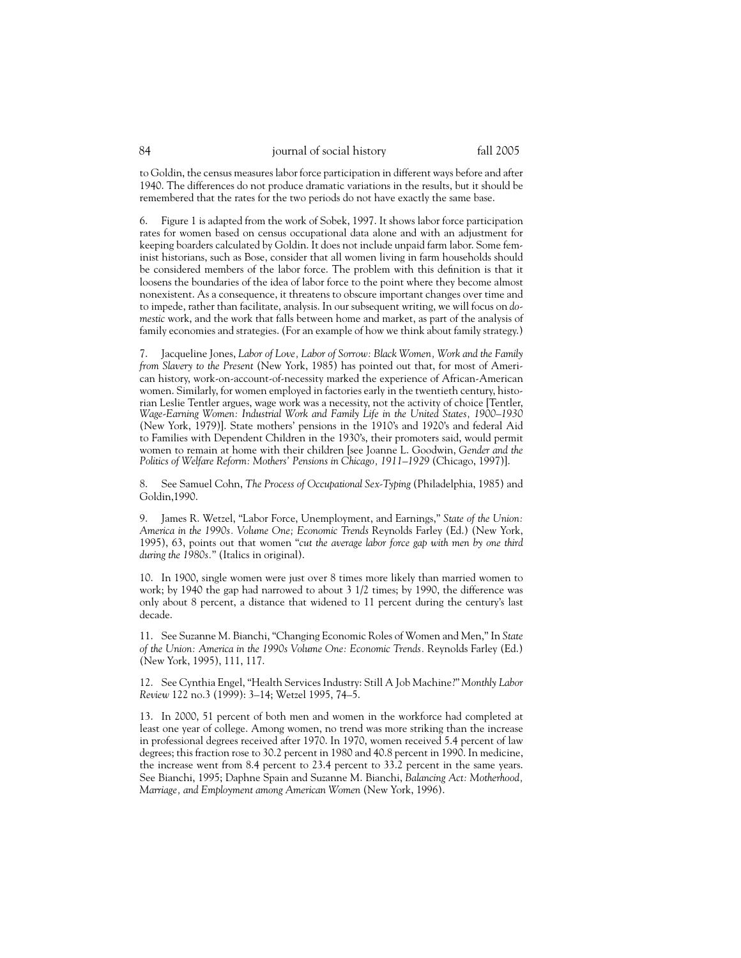to Goldin, the census measures labor force participation in different ways before and after 1940. The differences do not produce dramatic variations in the results, but it should be remembered that the rates for the two periods do not have exactly the same base.

6. Figure 1 is adapted from the work of Sobek, 1997. It shows labor force participation rates for women based on census occupational data alone and with an adjustment for keeping boarders calculated by Goldin. It does not include unpaid farm labor. Some feminist historians, such as Bose, consider that all women living in farm households should be considered members of the labor force. The problem with this definition is that it loosens the boundaries of the idea of labor force to the point where they become almost nonexistent. As a consequence, it threatens to obscure important changes over time and to impede, rather than facilitate, analysis. In our subsequent writing, we will focus on *domestic* work, and the work that falls between home and market, as part of the analysis of family economies and strategies. (For an example of how we think about family strategy.)

7. Jacqueline Jones, *Labor of Love, Labor of Sorrow: Black Women, Work and the Family from Slavery to the Present* (New York, 1985) has pointed out that, for most of American history, work-on-account-of-necessity marked the experience of African-American women. Similarly, for women employed in factories early in the twentieth century, historian Leslie Tentler argues, wage work was a necessity, not the activity of choice [Tentler, *Wage-Earning Women: Industrial Work and Family Life in the United States, 1900–1930* (New York, 1979)]. State mothers' pensions in the 1910's and 1920's and federal Aid to Families with Dependent Children in the 1930's, their promoters said, would permit women to remain at home with their children [see Joanne L. Goodwin, *Gender and the Politics of Welfare Reform: Mothers' Pensions in Chicago, 1911–1929* (Chicago, 1997)].

8. See Samuel Cohn, *The Process of Occupational Sex-Typing* (Philadelphia, 1985) and Goldin,1990.

9. James R. Wetzel, "Labor Force, Unemployment, and Earnings," *State of the Union: America in the 1990s. Volume One; Economic Trends* Reynolds Farley (Ed.) (New York, 1995), 63, points out that women "*cut the average labor force gap with men by one third during the 1980s.*" (Italics in original).

10. In 1900, single women were just over 8 times more likely than married women to work; by 1940 the gap had narrowed to about 3 1/2 times; by 1990, the difference was only about 8 percent, a distance that widened to 11 percent during the century's last decade.

11. See Suzanne M. Bianchi, "Changing Economic Roles of Women and Men," In *State of the Union: America in the 1990s Volume One: Economic Trends.* Reynolds Farley (Ed.) (New York, 1995), 111, 117.

12. See Cynthia Engel, "Health Services Industry: Still A Job Machine?" *Monthly Labor Review* 122 no.3 (1999): 3–14; Wetzel 1995, 74–5.

13. In 2000, 51 percent of both men and women in the workforce had completed at least one year of college. Among women, no trend was more striking than the increase in professional degrees received after 1970. In 1970, women received 5.4 percent of law degrees; this fraction rose to 30.2 percent in 1980 and 40.8 percent in 1990. In medicine, the increase went from 8.4 percent to 23.4 percent to 33.2 percent in the same years. See Bianchi, 1995; Daphne Spain and Suzanne M. Bianchi, *Balancing Act: Motherhood, Marriage, and Employment among American Women* (New York, 1996).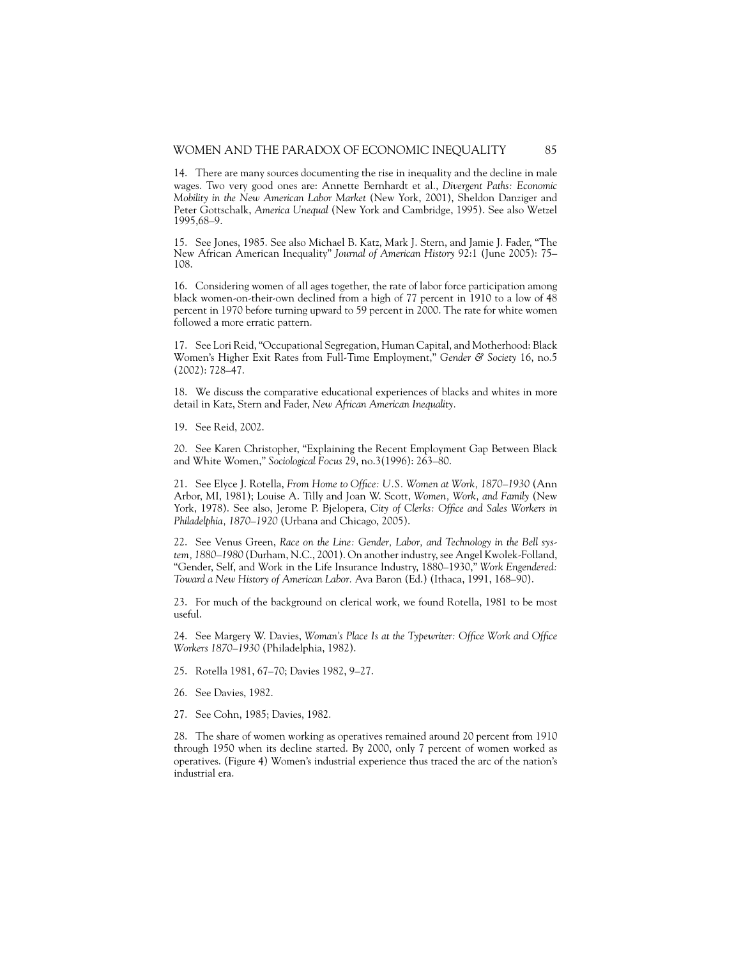14. There are many sources documenting the rise in inequality and the decline in male wages. Two very good ones are: Annette Bernhardt et al., *Divergent Paths: Economic Mobility in the New American Labor Market* (New York, 2001), Sheldon Danziger and Peter Gottschalk, *America Unequal* (New York and Cambridge, 1995). See also Wetzel 1995,68–9.

15. See Jones, 1985. See also Michael B. Katz, Mark J. Stern, and Jamie J. Fader, "The New African American Inequality" *Journal of American History* 92:1 (June 2005): 75– 108.

16. Considering women of all ages together, the rate of labor force participation among black women-on-their-own declined from a high of 77 percent in 1910 to a low of 48 percent in 1970 before turning upward to 59 percent in 2000. The rate for white women followed a more erratic pattern.

17. See Lori Reid, "Occupational Segregation, Human Capital, and Motherhood: Black Women's Higher Exit Rates from Full-Time Employment," *Gender & Society* 16, no.5 (2002): 728–47.

18. We discuss the comparative educational experiences of blacks and whites in more detail in Katz, Stern and Fader, *New African American Inequality.*

19. See Reid, 2002.

20. See Karen Christopher, "Explaining the Recent Employment Gap Between Black and White Women," *Sociological Focus* 29, no.3(1996): 263–80.

21. See Elyce J. Rotella, *From Home to Office: U.S. Women at Work, 1870–1930* (Ann Arbor, MI, 1981); Louise A. Tilly and Joan W. Scott, *Women, Work, and Family* (New York, 1978). See also, Jerome P. Bjelopera, *City of Clerks: Office and Sales Workers in Philadelphia, 1870–1920* (Urbana and Chicago, 2005).

22. See Venus Green, *Race on the Line: Gender, Labor, and Technology in the Bell system, 1880–1980* (Durham, N.C., 2001). On another industry, see Angel Kwolek-Folland, "Gender, Self, and Work in the Life Insurance Industry, 1880–1930," *Work Engendered: Toward a New History of American Labor.* Ava Baron (Ed.) (Ithaca, 1991, 168–90).

23. For much of the background on clerical work, we found Rotella, 1981 to be most useful.

24. See Margery W. Davies, *Woman's Place Is at the Typewriter: Office Work and Office Workers 1870–1930* (Philadelphia, 1982).

25. Rotella 1981, 67–70; Davies 1982, 9–27.

- 26. See Davies, 1982.
- 27. See Cohn, 1985; Davies, 1982.

28. The share of women working as operatives remained around 20 percent from 1910 through 1950 when its decline started. By 2000, only 7 percent of women worked as operatives. (Figure 4) Women's industrial experience thus traced the arc of the nation's industrial era.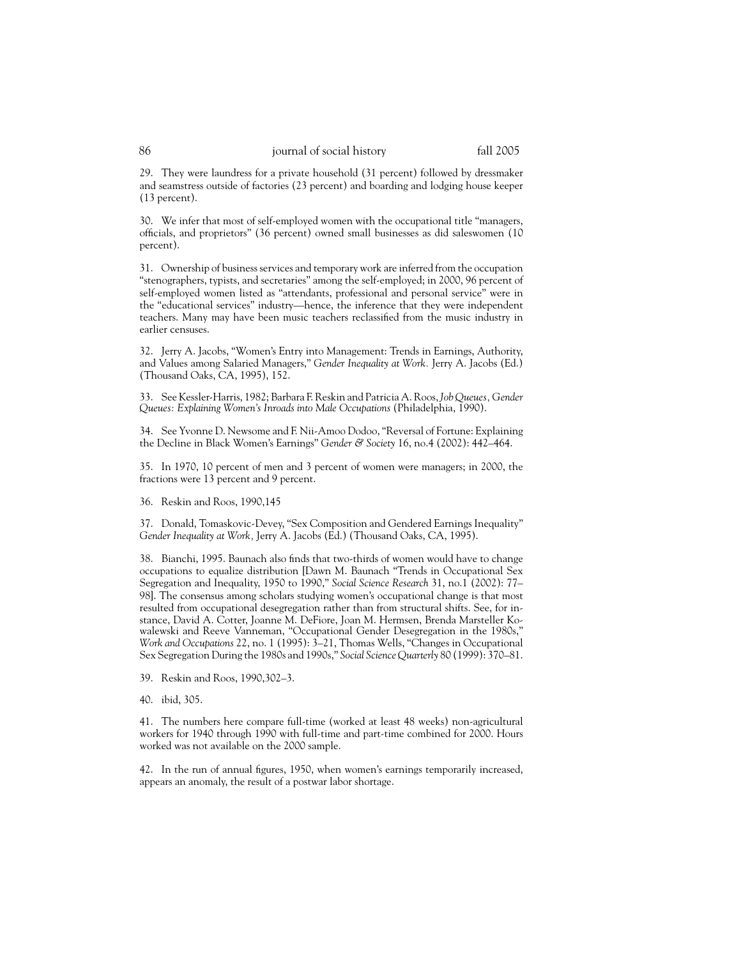29. They were laundress for a private household (31 percent) followed by dressmaker and seamstress outside of factories (23 percent) and boarding and lodging house keeper (13 percent).

30. We infer that most of self-employed women with the occupational title "managers, officials, and proprietors" (36 percent) owned small businesses as did saleswomen (10 percent).

31. Ownership of business services and temporary work are inferred from the occupation "stenographers, typists, and secretaries" among the self-employed; in 2000, 96 percent of self-employed women listed as "attendants, professional and personal service" were in the "educational services" industry—hence, the inference that they were independent teachers. Many may have been music teachers reclassified from the music industry in earlier censuses.

32. Jerry A. Jacobs, "Women's Entry into Management: Trends in Earnings, Authority, and Values among Salaried Managers," *Gender Inequality at Work.* Jerry A. Jacobs (Ed.) (Thousand Oaks, CA, 1995), 152.

33. See Kessler-Harris, 1982; Barbara F. Reskin and Patricia A. Roos,*Job Queues, Gender Queues: Explaining Women's Inroads into Male Occupations* (Philadelphia, 1990).

34. See Yvonne D. Newsome and F. Nii-Amoo Dodoo, "Reversal of Fortune: Explaining the Decline in Black Women's Earnings" *Gender & Society* 16, no.4 (2002): 442–464.

35. In 1970, 10 percent of men and 3 percent of women were managers; in 2000, the fractions were 13 percent and 9 percent.

36. Reskin and Roos, 1990,145

37. Donald, Tomaskovic-Devey, "Sex Composition and Gendered Earnings Inequality" *Gender Inequality at Work,* Jerry A. Jacobs (Ed.) (Thousand Oaks, CA, 1995).

38. Bianchi, 1995. Baunach also finds that two-thirds of women would have to change occupations to equalize distribution [Dawn M. Baunach "Trends in Occupational Sex Segregation and Inequality, 1950 to 1990," *Social Science Research* 31, no.1 (2002): 77– 98]. The consensus among scholars studying women's occupational change is that most resulted from occupational desegregation rather than from structural shifts. See, for instance, David A. Cotter, Joanne M. DeFiore, Joan M. Hermsen, Brenda Marsteller Kowalewski and Reeve Vanneman, "Occupational Gender Desegregation in the 1980s," *Work and Occupations* 22, no. 1 (1995): 3–21, Thomas Wells, "Changes in Occupational Sex Segregation During the 1980s and 1990s," *Social Science Quarterly* 80 (1999): 370–81.

39. Reskin and Roos, 1990,302–3.

40. ibid, 305.

41. The numbers here compare full-time (worked at least 48 weeks) non-agricultural workers for 1940 through 1990 with full-time and part-time combined for 2000. Hours worked was not available on the 2000 sample.

42. In the run of annual figures, 1950, when women's earnings temporarily increased, appears an anomaly, the result of a postwar labor shortage.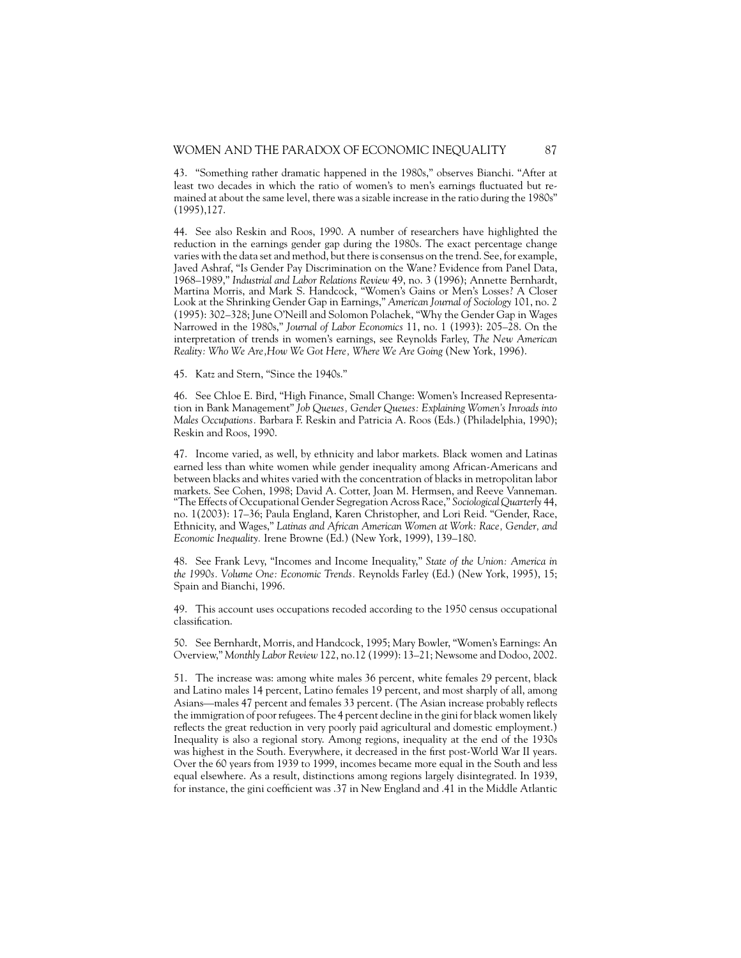43. "Something rather dramatic happened in the 1980s," observes Bianchi. "After at least two decades in which the ratio of women's to men's earnings fluctuated but remained at about the same level, there was a sizable increase in the ratio during the 1980s" (1995),127.

44. See also Reskin and Roos, 1990. A number of researchers have highlighted the reduction in the earnings gender gap during the 1980s. The exact percentage change varies with the data set and method, but there is consensus on the trend. See, for example, Javed Ashraf, "Is Gender Pay Discrimination on the Wane? Evidence from Panel Data, 1968–1989," *Industrial and Labor Relations Review* 49, no. 3 (1996); Annette Bernhardt, Martina Morris, and Mark S. Handcock, "Women's Gains or Men's Losses? A Closer Look at the Shrinking Gender Gap in Earnings," *American Journal of Sociology* 101, no. 2 (1995): 302–328; June O'Neill and Solomon Polachek, "Why the Gender Gap in Wages Narrowed in the 1980s," *Journal of Labor Economics* 11, no. 1 (1993): 205–28. On the interpretation of trends in women's earnings, see Reynolds Farley, *The New American Reality: Who We Are,How We Got Here, Where We Are Going* (New York, 1996).

45. Katz and Stern, "Since the 1940s."

46. See Chloe E. Bird, "High Finance, Small Change: Women's Increased Representation in Bank Management" *Job Queues, Gender Queues: Explaining Women's Inroads into Males Occupations.* Barbara F. Reskin and Patricia A. Roos (Eds.) (Philadelphia, 1990); Reskin and Roos, 1990.

47. Income varied, as well, by ethnicity and labor markets. Black women and Latinas earned less than white women while gender inequality among African-Americans and between blacks and whites varied with the concentration of blacks in metropolitan labor markets. See Cohen, 1998; David A. Cotter, Joan M. Hermsen, and Reeve Vanneman. "The Effects of Occupational Gender Segregation Across Race," *Sociological Quarterly* 44, no. 1(2003): 17–36; Paula England, Karen Christopher, and Lori Reid. "Gender, Race, Ethnicity, and Wages," *Latinas and African American Women at Work: Race, Gender, and Economic Inequality.* Irene Browne (Ed.) (New York, 1999), 139–180.

48. See Frank Levy, "Incomes and Income Inequality," *State of the Union: America in the 1990s. Volume One: Economic Trends.* Reynolds Farley (Ed.) (New York, 1995), 15; Spain and Bianchi, 1996.

49. This account uses occupations recoded according to the 1950 census occupational classification.

50. See Bernhardt, Morris, and Handcock, 1995; Mary Bowler, "Women's Earnings: An Overview," *Monthly Labor Review* 122, no.12 (1999): 13–21; Newsome and Dodoo, 2002.

51. The increase was: among white males 36 percent, white females 29 percent, black and Latino males 14 percent, Latino females 19 percent, and most sharply of all, among Asians—males 47 percent and females 33 percent. (The Asian increase probably reflects the immigration of poor refugees. The 4 percent decline in the gini for black women likely reflects the great reduction in very poorly paid agricultural and domestic employment.) Inequality is also a regional story. Among regions, inequality at the end of the 1930s was highest in the South. Everywhere, it decreased in the first post-World War II years. Over the 60 years from 1939 to 1999, incomes became more equal in the South and less equal elsewhere. As a result, distinctions among regions largely disintegrated. In 1939, for instance, the gini coefficient was .37 in New England and .41 in the Middle Atlantic